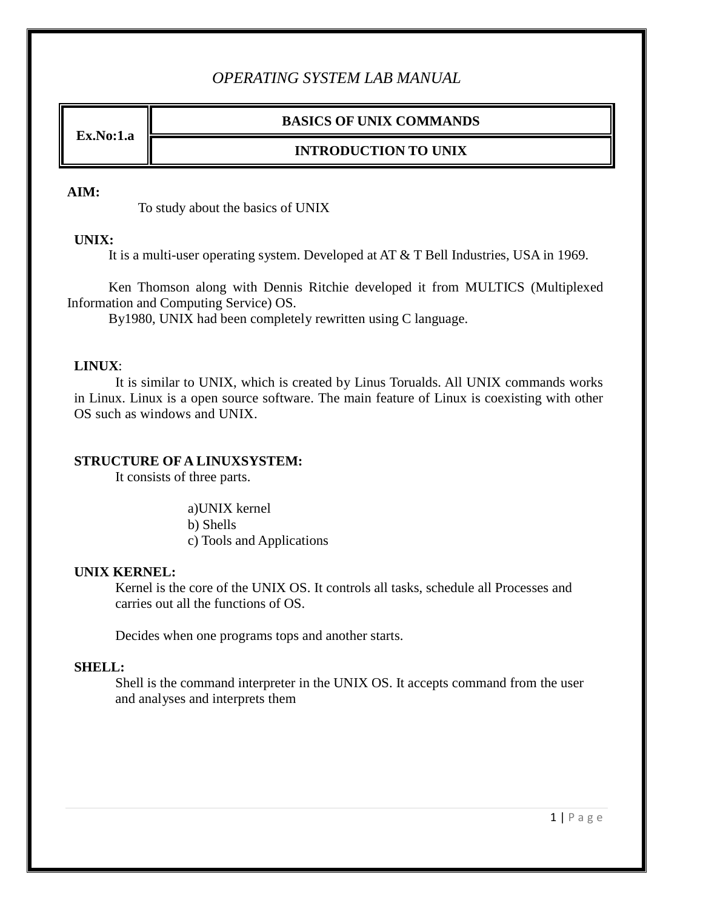# *OPERATING SYSTEM LAB MANUAL*

**Ex.No:1.a**

### **BASICS OF UNIX COMMANDS**

### **INTRODUCTION TO UNIX**

#### **AIM:**

To study about the basics of UNIX

#### **UNIX:**

It is a multi-user operating system. Developed at AT & T Bell Industries, USA in 1969.

Ken Thomson along with Dennis Ritchie developed it from MULTICS (Multiplexed Information and Computing Service) OS.

By1980, UNIX had been completely rewritten using C language.

#### **LINUX**:

It is similar to UNIX, which is created by Linus Torualds. All UNIX commands works in Linux. Linux is a open source software. The main feature of Linux is coexisting with other OS such as windows and UNIX.

#### **STRUCTURE OF A LINUXSYSTEM:**

It consists of three parts.

a)UNIX kernel b) Shells c) Tools and Applications

#### **UNIX KERNEL:**

Kernel is the core of the UNIX OS. It controls all tasks, schedule all Processes and carries out all the functions of OS.

Decides when one programs tops and another starts.

#### **SHELL:**

Shell is the command interpreter in the UNIX OS. It accepts command from the user and analyses and interprets them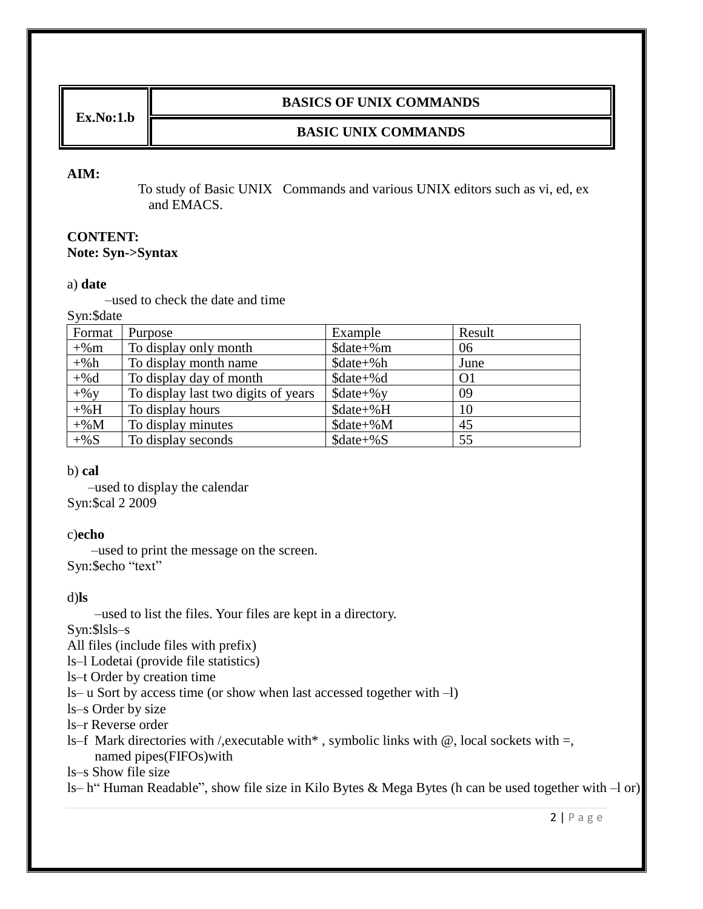**Ex.No:1.b**

#### **BASICS OF UNIX COMMANDS**

### **BASIC UNIX COMMANDS**

#### **AIM:**

 To study of Basic UNIX Commands and various UNIX editors such as vi, ed, ex and EMACS.

#### **CONTENT: Note: Syn->Syntax**

#### a) **date**

–used to check the date and time

Syn:\$date

| Format  | Purpose                             | Example                      | Result         |
|---------|-------------------------------------|------------------------------|----------------|
| $+$ %m  | To display only month               | $\delta$ date+%m             | 06             |
| $+$ %h  | To display month name               | \$date+%h                    | June           |
| $+$ %d  | To display day of month             | $\text{State} + \text{\%}d$  | O <sub>1</sub> |
| $+$ % y | To display last two digits of years | $\text{State+}\%$ y          | 09             |
| $+$ %H  | To display hours                    | $\text{State+}\%H$           | 10             |
| $+$ %M  | To display minutes                  | $\text{State} + \% \text{M}$ | 45             |
| $+$ %S  | To display seconds                  | $\text{State} + \text{\%S}$  | 55             |

b) **cal**

–used to display the calendar Syn:\$cal 2 2009

#### c)**echo**

–used to print the message on the screen. Syn:\$echo "text"

#### d)**ls**

–used to list the files. Your files are kept in a directory.

#### Syn:\$lsls–s

All files (include files with prefix)

ls–l Lodetai (provide file statistics)

ls–t Order by creation time

ls– u Sort by access time (or show when last accessed together with –l)

ls–s Order by size

ls–r Reverse order

ls–f Mark directories with /, executable with  $*$ , symbolic links with  $@$ , local sockets with  $=$ , named pipes(FIFOs)with

ls–s Show file size

ls– h" Human Readable", show file size in Kilo Bytes & Mega Bytes (h can be used together with –l or)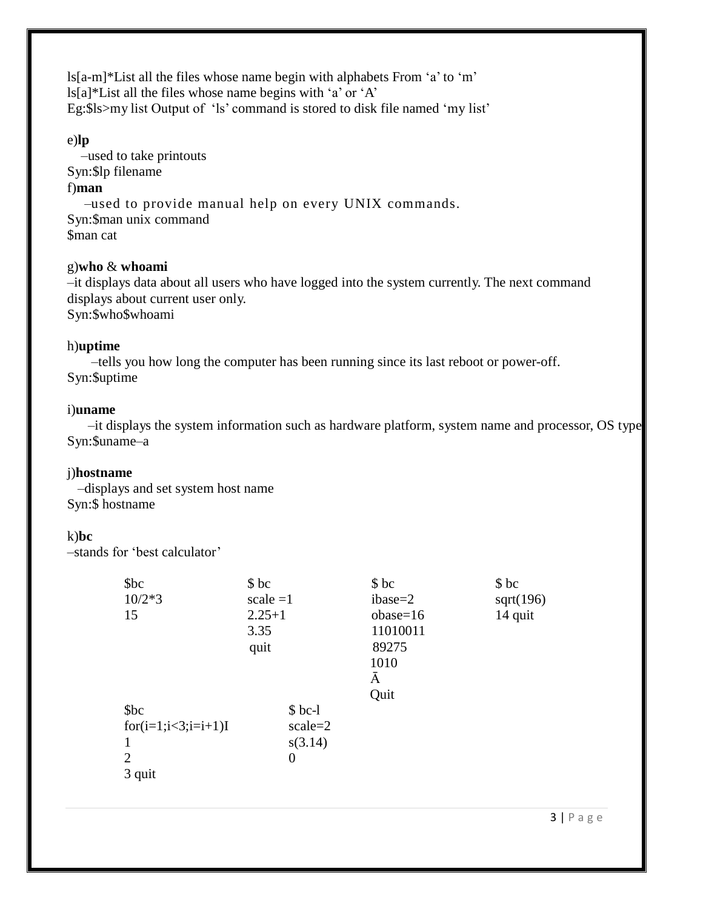ls[a-m]\*List all the files whose name begin with alphabets From "a" to "m"  $\frac{1}{2}$ ls[a]\*List all the files whose name begins with 'a' or 'A' Eg:\$ls>my list Output of 'ls' command is stored to disk file named 'my list'

#### e)**lp**

–used to take printouts Syn:\$lp filename f)**man** –used to provide manual help on every UNIX commands. Syn:\$man unix command

\$man cat

#### g)**who** & **whoami**

–it displays data about all users who have logged into the system currently. The next command displays about current user only. Syn:\$who\$whoami

#### h)**uptime**

–tells you how long the computer has been running since its last reboot or power-off. Syn:\$uptime

#### i)**uname**

–it displays the system information such as hardware platform, system name and processor, OS type. Syn:\$uname–a

### j)**hostname**

 –displays and set system host name Syn:\$ hostname

### k)**bc**

–stands for "best calculator"

| \$bc                     | \$bc       |                | \$bc       | \$bc      |
|--------------------------|------------|----------------|------------|-----------|
| $10/2*3$                 | scale $=1$ |                | $ibase=2$  | sqrt(196) |
| 15                       | $2.25 + 1$ |                | $obase=16$ | 14 quit   |
|                          | 3.35       |                | 11010011   |           |
|                          | quit       |                | 89275      |           |
|                          |            |                | 1010       |           |
|                          |            |                | Ā          |           |
|                          |            |                | Quit       |           |
| \$bc                     |            | $$bc-1$        |            |           |
| $for (i=1; i<3; i=i+1)I$ |            | $scale=2$      |            |           |
| 1                        |            | s(3.14)        |            |           |
| 2                        |            | $\overline{0}$ |            |           |
| 3 quit                   |            |                |            |           |
|                          |            |                |            |           |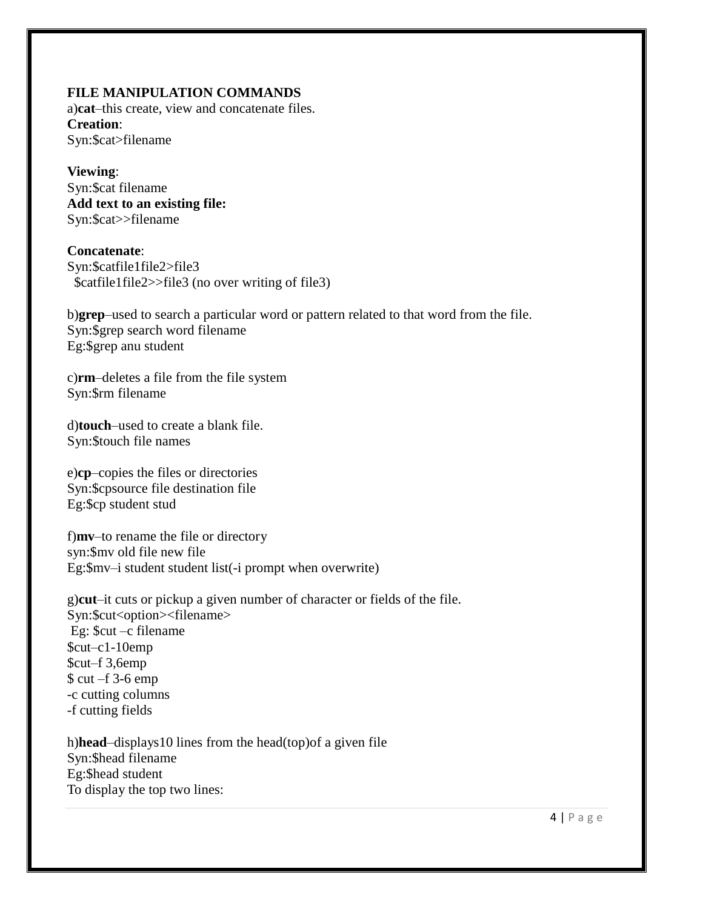#### **FILE MANIPULATION COMMANDS**

a)**cat**–this create, view and concatenate files. **Creation**: Syn:\$cat>filename

**Viewing**: Syn:\$cat filename **Add text to an existing file:** Syn:\$cat>>filename

**Concatenate**: Syn:\$catfile1file2>file3 \$catfile1file2>>file3 (no over writing of file3)

b)**grep**–used to search a particular word or pattern related to that word from the file. Syn:\$grep search word filename Eg:\$grep anu student

c)**rm**–deletes a file from the file system Syn:\$rm filename

d)**touch**–used to create a blank file. Syn:\$touch file names

e)**cp**–copies the files or directories Syn:\$cpsource file destination file Eg:\$cp student stud

f)**mv**–to rename the file or directory syn:\$mv old file new file Eg:\$mv–i student student list(-i prompt when overwrite)

g)**cut**–it cuts or pickup a given number of character or fields of the file. Syn:\$cut<option><filename> Eg: \$cut –c filename \$cut–c1-10emp \$cut–f 3,6emp \$ cut –f 3-6 emp -c cutting columns -f cutting fields

h)**head**–displays10 lines from the head(top)of a given file Syn:\$head filename Eg:\$head student To display the top two lines: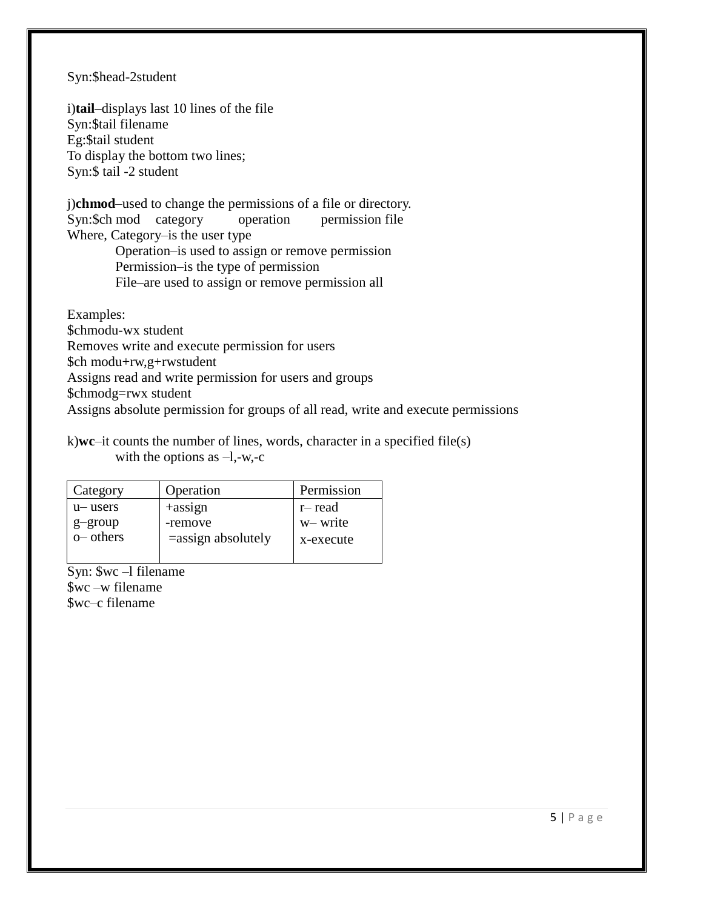#### Syn:\$head-2student

i)**tail**–displays last 10 lines of the file Syn:\$tail filename Eg:\$tail student To display the bottom two lines; Syn:\$ tail -2 student

j)**chmod**–used to change the permissions of a file or directory. Syn:\$ch mod category operation permission file Where, Category–is the user type

Operation–is used to assign or remove permission Permission–is the type of permission File–are used to assign or remove permission all

Examples: \$chmodu-wx student Removes write and execute permission for users \$ch modu+rw,g+rwstudent Assigns read and write permission for users and groups \$chmodg=rwx student Assigns absolute permission for groups of all read, write and execute permissions

#### k)**wc**–it counts the number of lines, words, character in a specified file(s) with the options as  $-1, -w, -c$

| Category   | Operation             | Permission |
|------------|-----------------------|------------|
| u-users    | $+$ assign            | r-read     |
| g-group    | -remove               | w-write    |
| $o$ others | $=$ assign absolutely | x-execute  |
|            |                       |            |

Syn:  $\sqrt{$wc -1$ filename}$ \$wc –w filename \$wc–c filename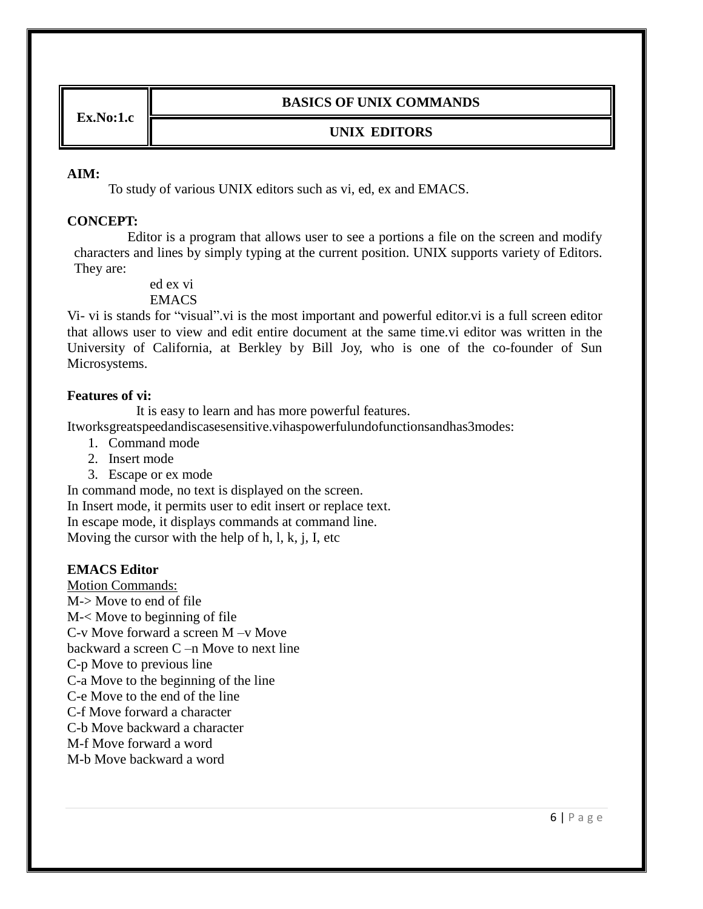**Ex.No:1.c**

### **BASICS OF UNIX COMMANDS**

### **UNIX EDITORS**

#### **AIM:**

To study of various UNIX editors such as vi, ed, ex and EMACS.

#### **CONCEPT:**

Editor is a program that allows user to see a portions a file on the screen and modify characters and lines by simply typing at the current position. UNIX supports variety of Editors. They are:

> ed ex vi **EMACS**

Vi- vi is stands for "visual".vi is the most important and powerful editor.vi is a full screen editor that allows user to view and edit entire document at the same time.vi editor was written in the University of California, at Berkley by Bill Joy, who is one of the co-founder of Sun Microsystems.

#### **Features of vi:**

It is easy to learn and has more powerful features.

Itworksgreatspeedandiscasesensitive.vihaspowerfulundofunctionsandhas3modes:

- 1. Command mode
- 2. Insert mode
- 3. Escape or ex mode

In command mode, no text is displayed on the screen. In Insert mode, it permits user to edit insert or replace text. In escape mode, it displays commands at command line. Moving the cursor with the help of h, l, k, j, I, etc

#### **EMACS Editor**

Motion Commands: M-> Move to end of file M-< Move to beginning of file C-v Move forward a screen M –v Move backward a screen C –n Move to next line C-p Move to previous line C-a Move to the beginning of the line C-e Move to the end of the line C-f Move forward a character C-b Move backward a character M-f Move forward a word M-b Move backward a word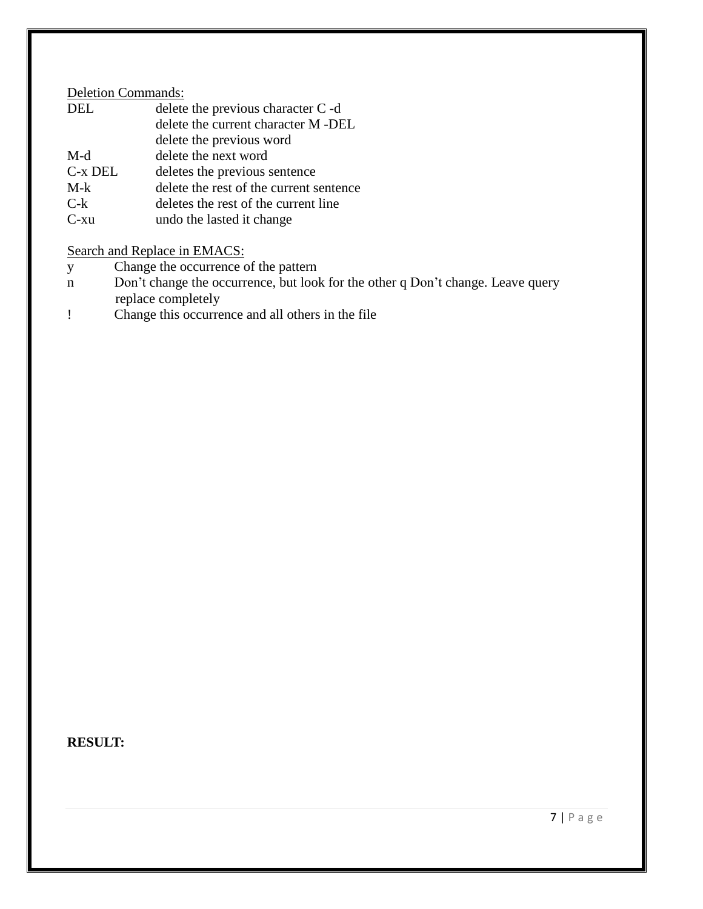### Deletion Commands:

| <b>DEL</b> | delete the previous character C -d      |
|------------|-----------------------------------------|
|            | delete the current character M -DEL     |
|            | delete the previous word                |
| M-d        | delete the next word                    |
| C-x DEL    | deletes the previous sentence           |
| $M-k$      | delete the rest of the current sentence |
| $C-k$      | deletes the rest of the current line    |
| $C$ -xu    | undo the lasted it change               |

Search and Replace in EMACS:

- y Change the occurrence of the pattern
- n Don"t change the occurrence, but look for the other q Don"t change. Leave query replace completely
- ! Change this occurrence and all others in the file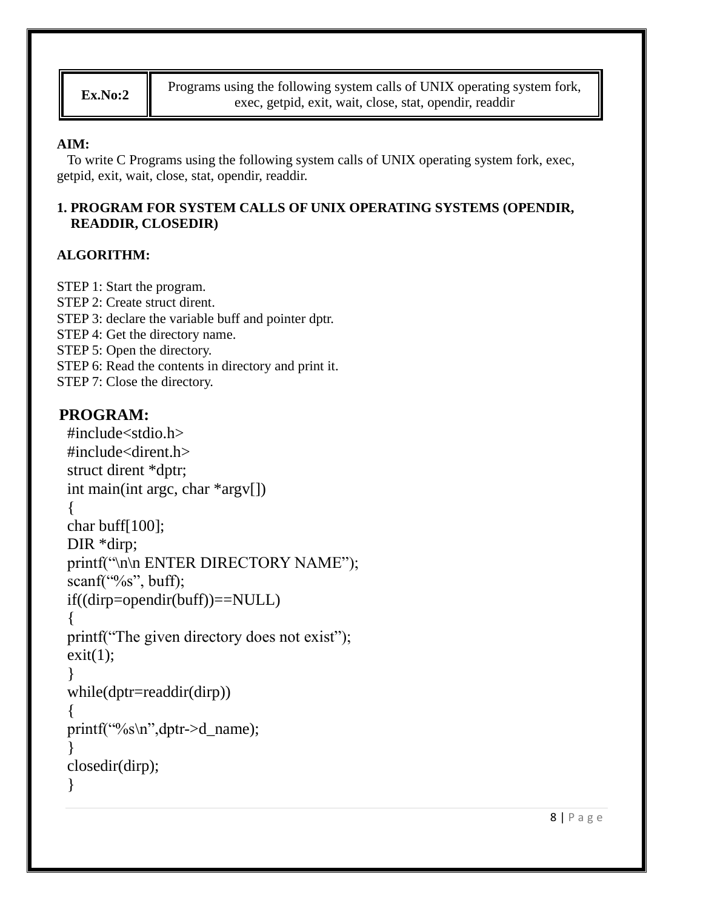**Ex.No:2** Programs using the following system calls of UNIX operating system fork, exec, getpid, exit, wait, close, stat, opendir, readdir

## **AIM:**

To write C Programs using the following system calls of UNIX operating system fork, exec, getpid, exit, wait, close, stat, opendir, readdir.

## **1. PROGRAM FOR SYSTEM CALLS OF UNIX OPERATING SYSTEMS (OPENDIR, READDIR, CLOSEDIR)**

## **ALGORITHM:**

STEP 1: Start the program. STEP 2: Create struct dirent. STEP 3: declare the variable buff and pointer dptr. STEP 4: Get the directory name. STEP 5: Open the directory. STEP 6: Read the contents in directory and print it. STEP 7: Close the directory.

```
#include<stdio.h>
#include<dirent.h>
struct dirent *dptr;
int main(int argc, char *argv[])
{
char buff[100];
DIR *dirp;
printf("\n\n ENTER DIRECTORY NAME");
scanf("%s", buff);
if((dirp=opendir(buff))==NULL)
{
printf("The given directory does not exist");
exit(1);}
while(dptr=readdir(dirp))
{
printf("%s\n",dptr->d_name);
}
closedir(dirp);
}
```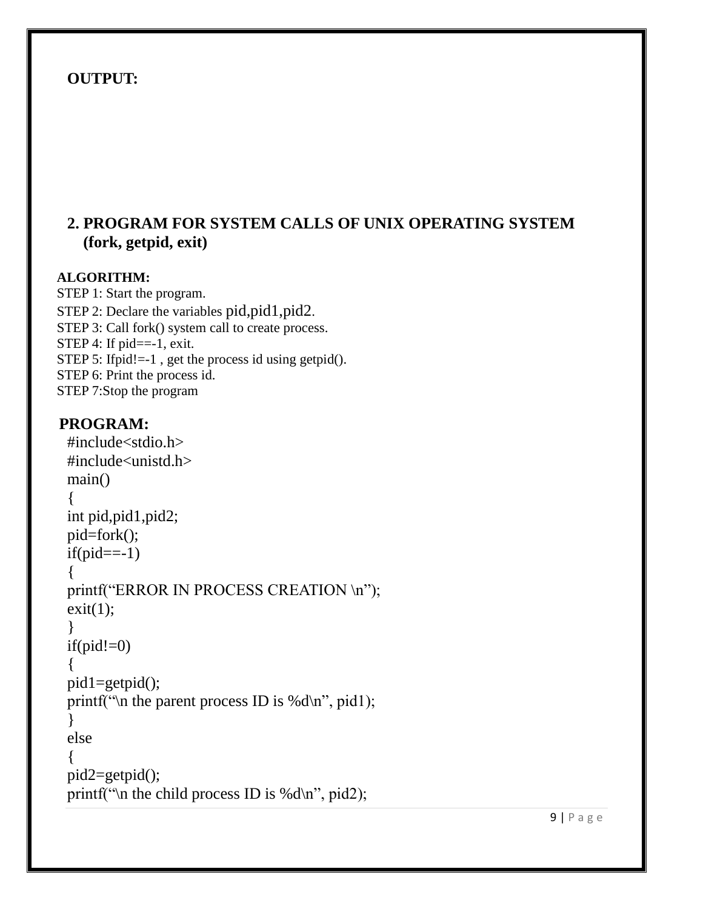# **2. PROGRAM FOR SYSTEM CALLS OF UNIX OPERATING SYSTEM (fork, getpid, exit)**

### **ALGORITHM:**

STEP 1: Start the program. STEP 2: Declare the variables pid, pid1, pid2. STEP 3: Call fork() system call to create process. STEP 4: If  $pid == -1$ , exit. STEP 5: Ifpid!=-1, get the process id using getpid(). STEP 6: Print the process id. STEP 7:Stop the program

```
#include<stdio.h>
#include<unistd.h>
main()
{
int pid,pid1,pid2;
pid=fork();
if(pid==-1){
printf("ERROR IN PROCESS CREATION \n");
exit(1);}
if(pid!=0){
pid1=getpid();
printf("\n the parent process ID is %d\n", pid1);
}
else
{
pid2=getpid();
printf("\n the child process ID is %d\n", pid2);
```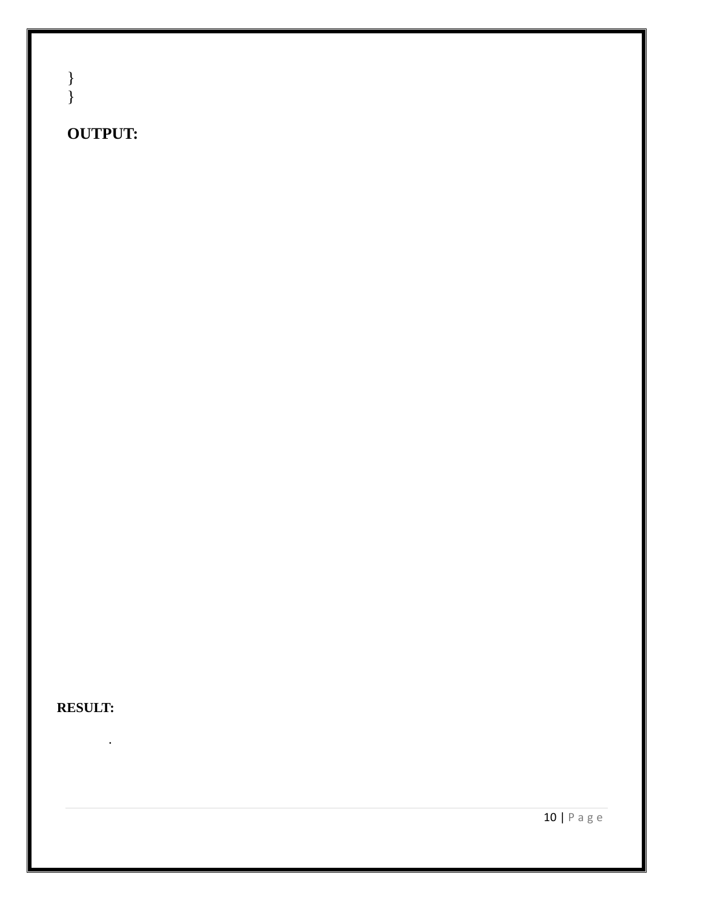} }

# **OUTPUT:**

# **RESULT:**

- .
	-

10 | P a g e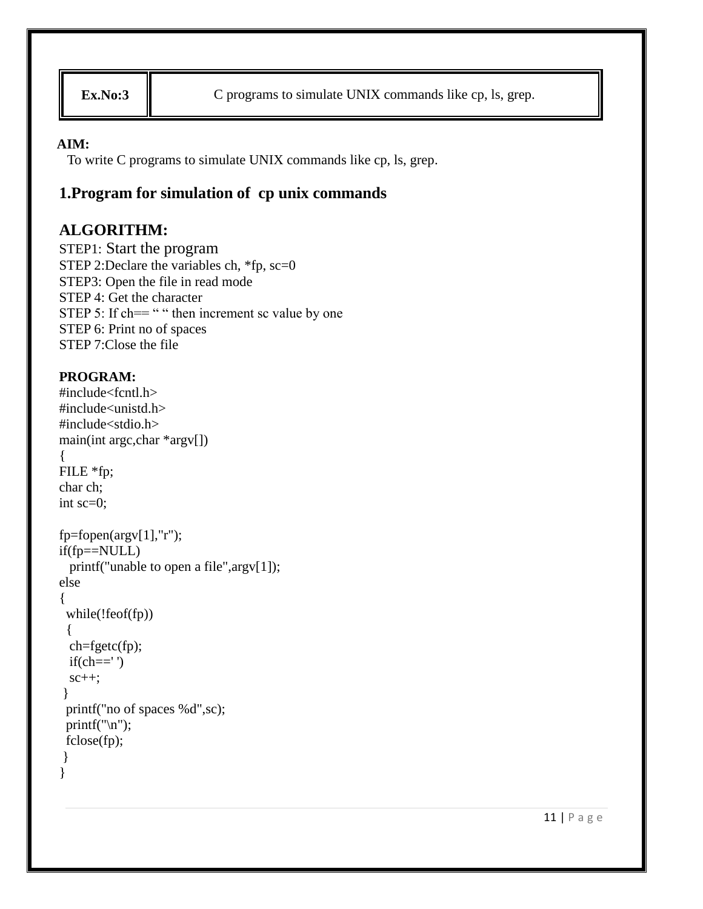**Ex.No:3** C programs to simulate UNIX commands like cp, ls, grep.

### **AIM:**

To write C programs to simulate UNIX commands like cp, ls, grep.

# **1.Program for simulation of cp unix commands**

# **ALGORITHM:**

STEP1: Start the program STEP 2:Declare the variables ch,  $*fp$ , sc=0 STEP3: Open the file in read mode STEP 4: Get the character STEP 5: If  $\text{ch}==$  " " then increment sc value by one STEP 6: Print no of spaces STEP 7:Close the file

```
#include<fcntl.h>
#include<unistd.h>
#include<stdio.h>
main(int argc,char *argv[])
{
FILE *fp;
char ch;
int sc=0;
fp = fopen(argv[1], "r");if(fp==NULL)
  printf("unable to open a file",argv[1]);
else
{
  while(!feof(fp))
  {
  ch=fgetc(fp);
 if(ch=='')sc++;
}
  printf("no of spaces %d",sc);
 printf("\ln");
  fclose(fp);
}
}
```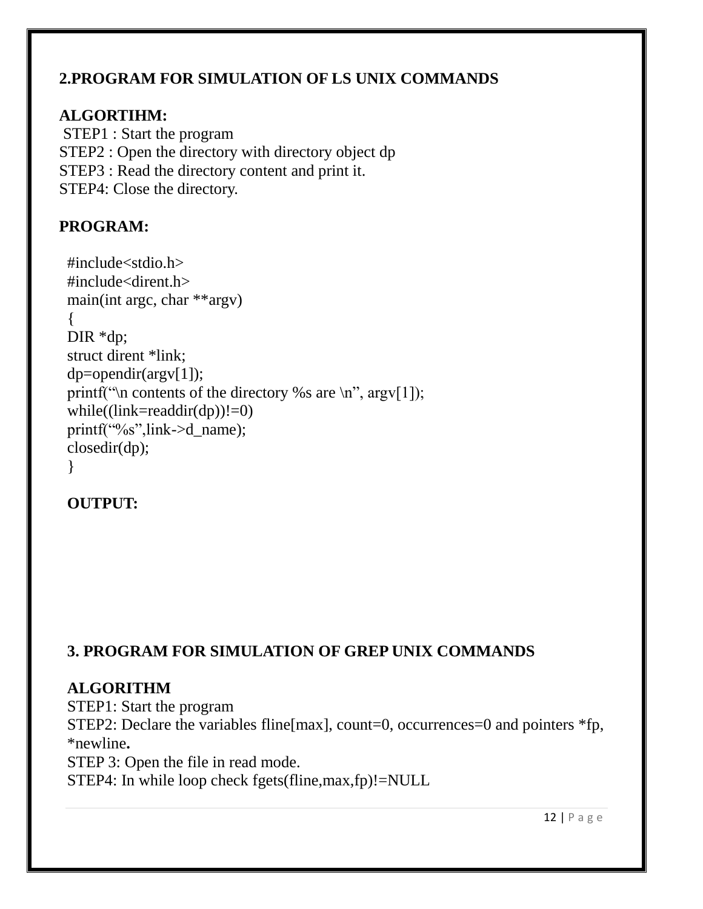# **2.PROGRAM FOR SIMULATION OF LS UNIX COMMANDS**

# **ALGORTIHM:**

STEP1 : Start the program STEP2 : Open the directory with directory object dp STEP3 : Read the directory content and print it. STEP4: Close the directory.

# **PROGRAM:**

```
#include<stdio.h>
#include<dirent.h>
main(int argc, char **argv)
{
DIR *dp;
struct dirent *link;
dp=opendir(argv[1]);
printf("\n contents of the directory %s are \n", argv[1]);
while((link=readdir(dp))!=0)
printf("%s",link->d_name);
closedir(dp);
}
```
# **OUTPUT:**

# **3. PROGRAM FOR SIMULATION OF GREP UNIX COMMANDS**

# **ALGORITHM**

STEP1: Start the program STEP2: Declare the variables fline[max], count=0, occurrences=0 and pointers \*fp, \*newline**.** STEP 3: Open the file in read mode. STEP4: In while loop check fgets(fline,max,fp)!=NULL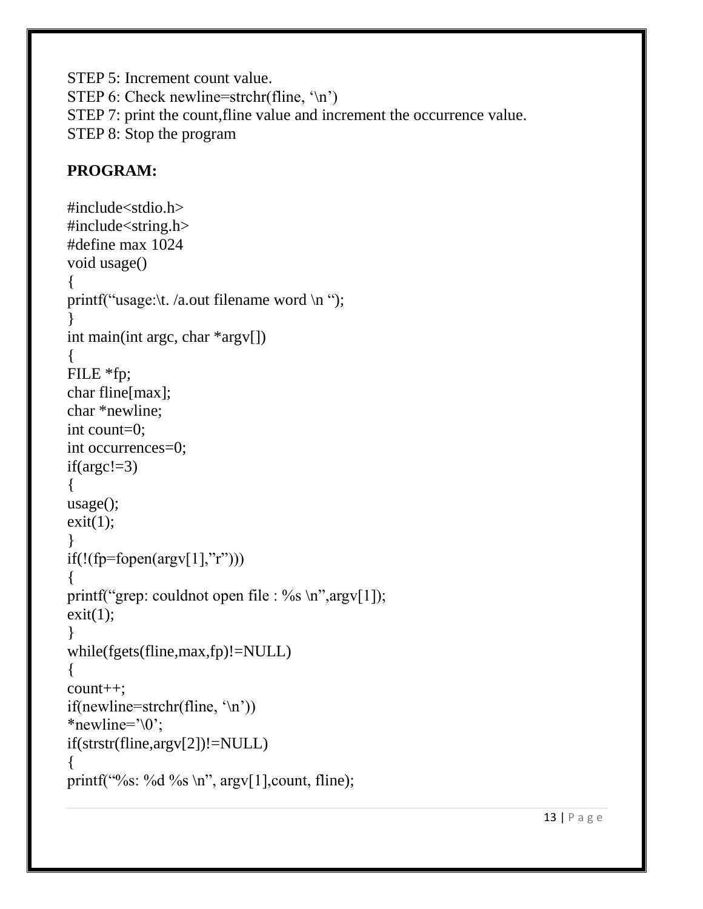STEP 5: Increment count value. STEP 6: Check newline=strchr(fline,  $\ln$ ) STEP 7: print the count,fline value and increment the occurrence value. STEP 8: Stop the program

```
#include<stdio.h>
#include<string.h>
#define max 1024
void usage()
{
printf("usage:\t. /a.out filename word \n ");
}
int main(int argc, char *argv[])
{
FILE *fp;
char fline[max];
char *newline;
int count=0;
int occurrences=0;
if(argc!=3){
usage();
exit(1);}
if(!(fp=fopen(argv[1],"r")))
{
printf("grep: couldnot open file : %s \n",argv[1]);
exit(1);}
while(fgets(fline,max,fp)!=NULL)
{
count++;
if(newline=strchr(fline, \ln))
*newline=\degree\0';
if(strstr(fline,argv[2])!=NULL)
{
printf("%s: %d %s \n", argv[1], count, fline);
```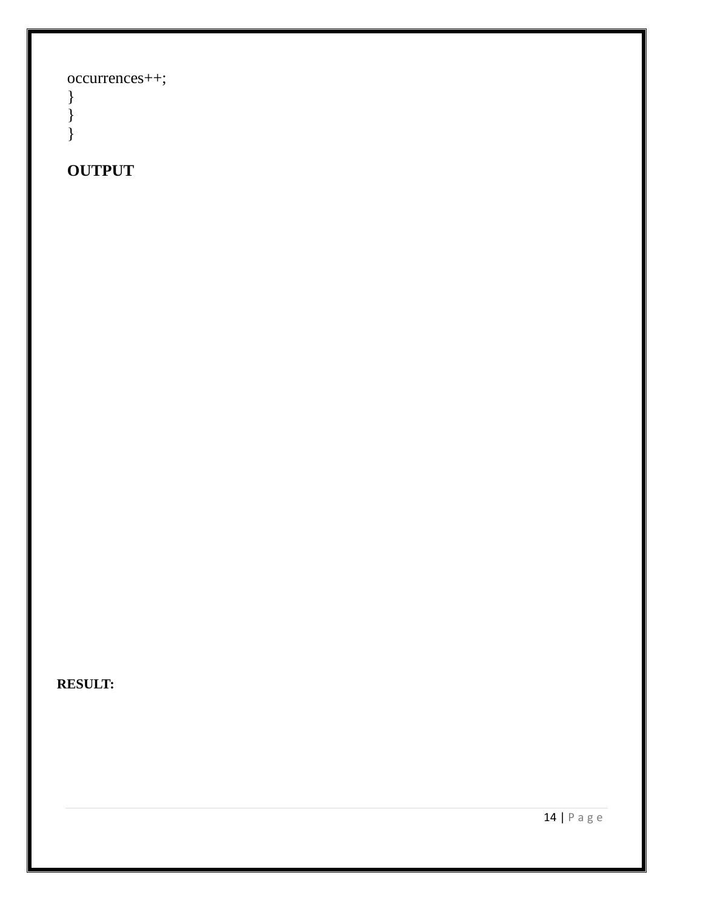occurrences++;

} } }

# **OUTPUT**

**RESULT:**

14 | P a g e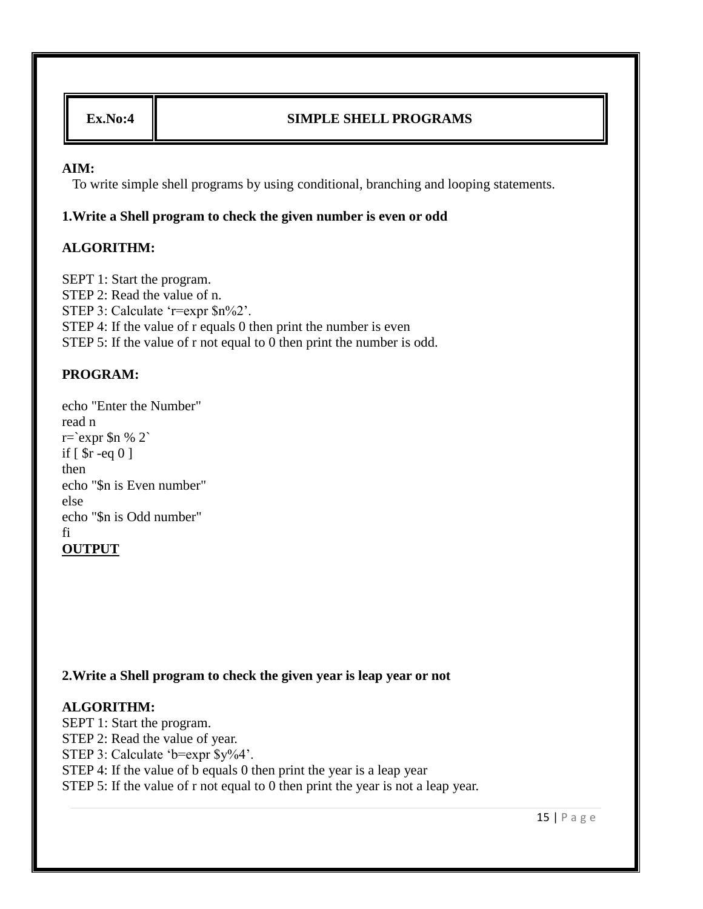### **Ex.No:4 SIMPLE SHELL PROGRAMS**

#### **AIM:**

To write simple shell programs by using conditional, branching and looping statements.

#### **1.Write a Shell program to check the given number is even or odd**

### **ALGORITHM:**

SEPT 1: Start the program. STEP 2: Read the value of n. STEP 3: Calculate 'r=expr  $\text{\$n\%2}'.$ STEP 4: If the value of r equals 0 then print the number is even STEP 5: If the value of r not equal to 0 then print the number is odd.

### **PROGRAM:**

echo "Enter the Number" read n  $r='expr$  \$n % 2` if [ \$r -eq 0 ] then echo "\$n is Even number" else echo "\$n is Odd number" fi **OUTPUT**

### **2.Write a Shell program to check the given year is leap year or not**

### **ALGORITHM:**

SEPT 1: Start the program. STEP 2: Read the value of year. STEP 3: Calculate 'b=expr \$y%4'. STEP 4: If the value of b equals 0 then print the year is a leap year STEP 5: If the value of r not equal to 0 then print the year is not a leap year.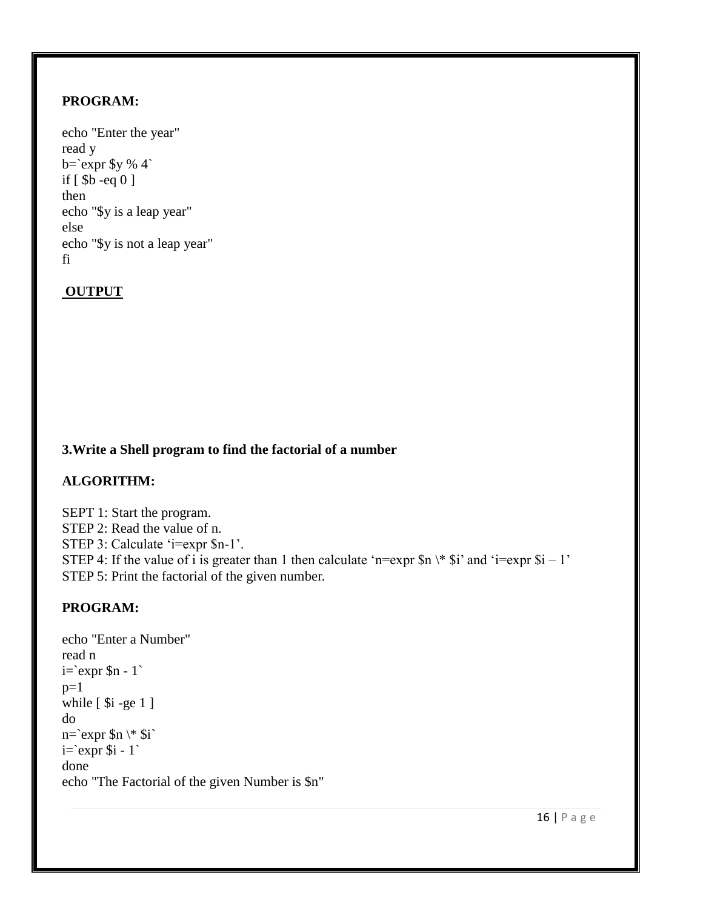#### **PROGRAM:**

### **OUTPUT**

### **3.Write a Shell program to find the factorial of a number**

### **ALGORITHM:**

SEPT 1: Start the program. STEP 2: Read the value of n. STEP 3: Calculate 'i=expr \$n-1'. STEP 4: If the value of i is greater than 1 then calculate 'n=expr  $\sin \frac{\pi}{3}$  and 'i=expr  $\sin 1$ ' STEP 5: Print the factorial of the given number.

```
echo "Enter a Number"
read n
i=`expr $n - 1`
p=1while [$i -ge 1 ]
do
n=`expr $n \* $i`
i=`expr $i - 1`
done
echo "The Factorial of the given Number is $n"
```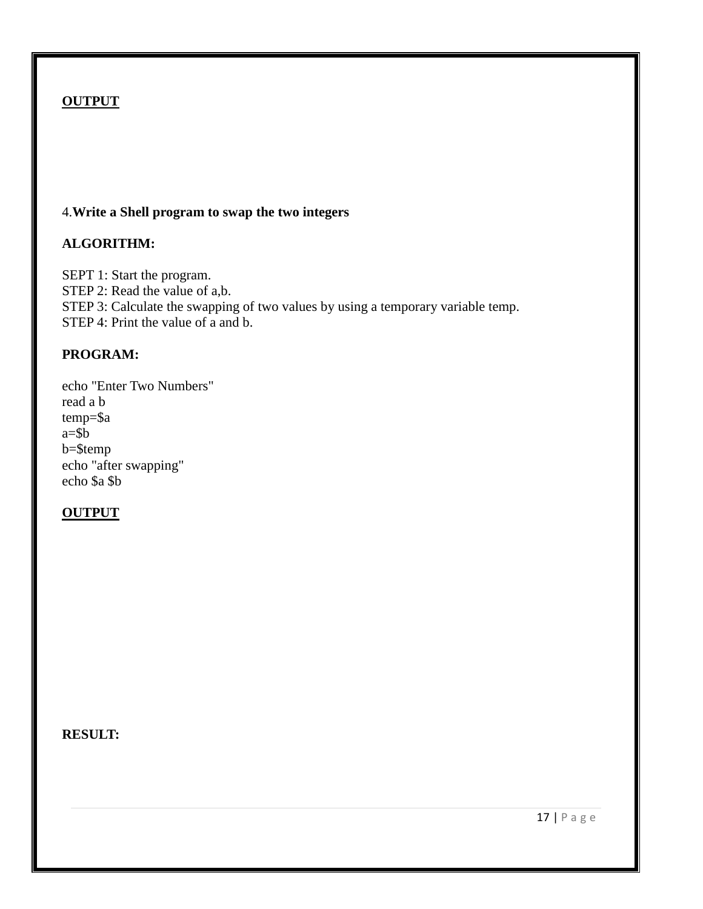### 4.**Write a Shell program to swap the two integers**

### **ALGORITHM:**

SEPT 1: Start the program. STEP 2: Read the value of a,b. STEP 3: Calculate the swapping of two values by using a temporary variable temp. STEP 4: Print the value of a and b.

### **PROGRAM:**

echo "Enter Two Numbers" read a b temp=\$a a=\$b b=\$temp echo "after swapping" echo \$a \$b

### **OUTPUT**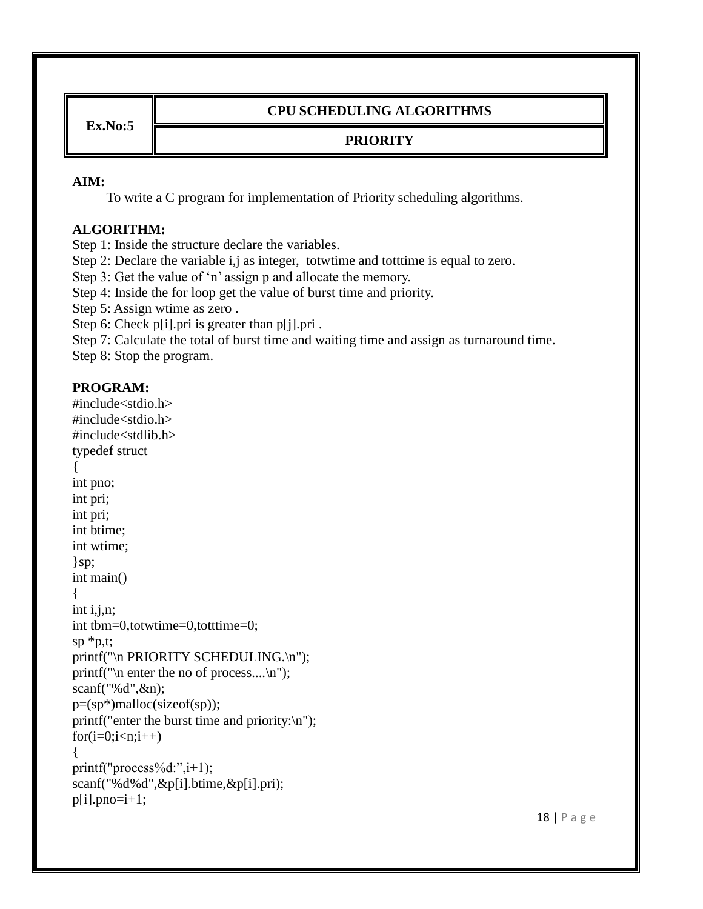**Ex.No:5**

### **CPU SCHEDULING ALGORITHMS**

# **PRIORITY**

#### **AIM:**

To write a C program for implementation of Priority scheduling algorithms.

### **ALGORITHM:**

Step 1: Inside the structure declare the variables.

Step 2: Declare the variable i,j as integer, totwtime and totttime is equal to zero.

Step 3: Get the value of 'n' assign p and allocate the memory.

Step 4: Inside the for loop get the value of burst time and priority.

Step 5: Assign wtime as zero .

Step 6: Check p[i].pri is greater than p[j].pri .

Step 7: Calculate the total of burst time and waiting time and assign as turnaround time.

Step 8: Stop the program.

```
#include<stdio.h>
#include<stdio.h>
#include<stdlib.h>
typedef struct
{
int pno;
int pri;
int pri;
int btime;
int wtime;
\}sp;
int main()
{
int i,j,n;
int tbm=0,totwtime=0,totttime=0;
sp * p,t;printf("\n PRIORITY SCHEDULING.\n");
printf("\n enter the no of process....\n");
scanf("%d",&n);
p=(sp*)malloc(sizeof(sp));
printf("enter the burst time and priority:\n");
for(i=0;i< n;i++){
printf("process%d:",i+1);
scanf("%d%d",&p[i].btime,&p[i].pri);
p[i].pno=i+1;
```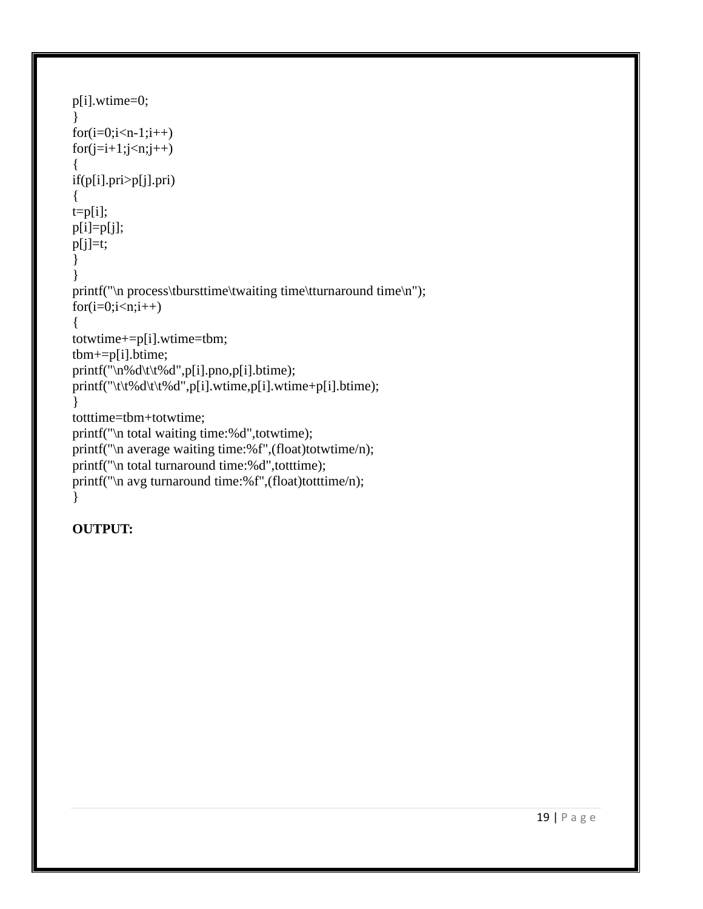```
p[i].wtime=0;
}
for(i=0;i < n-1;i++)for(j=i+1;j\leq n;j++){
if(p[i].pri>p[j].pri)
{
t=p[i];p[i]=p[j];
p[j]=t;}
}
printf("\n process\tbursttime\twaiting time\tturnaround time\n");
for(i=0;i< n;i++){
totwtime+=p[i].wtime=tbm;
tbm+=p[i].btime;
printf("\n%d\t\t%d",p[i].pno,p[i].btime);
printf("\t\t%d\t\t%d",p[i].wtime,p[i].wtime+p[i].btime);
}
totttime=tbm+totwtime;
printf("\n total waiting time:%d",totwtime);
printf("\n average waiting time:%f",(float)totwtime/n);
printf("\n total turnaround time:%d",totttime);
printf("\n avg turnaround time:%f",(float)totttime/n);
}
```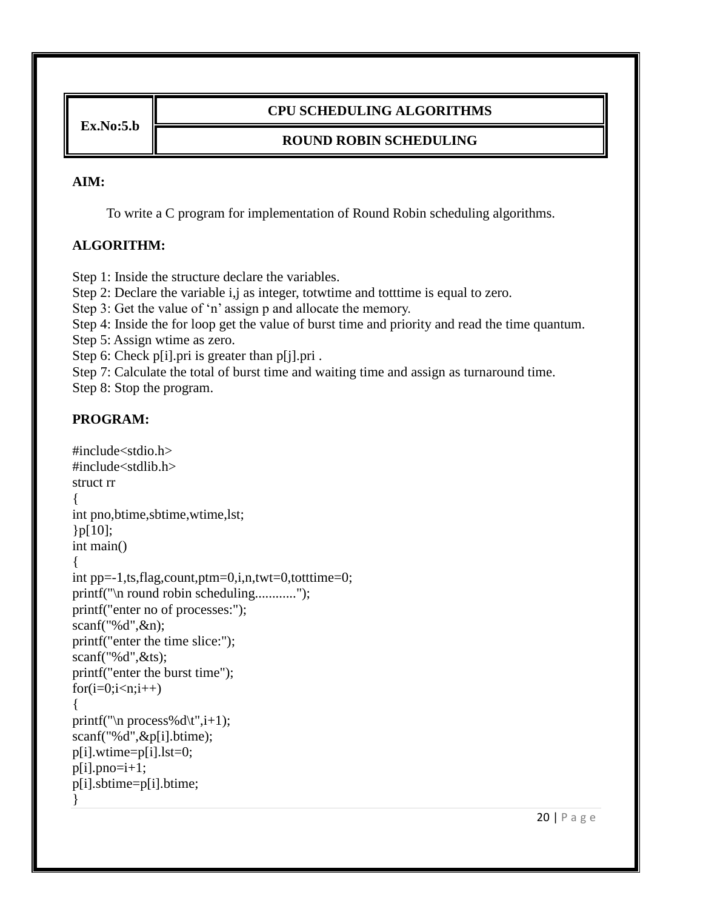**Ex.No:5.b**

### **CPU SCHEDULING ALGORITHMS**

### **ROUND ROBIN SCHEDULING**

#### **AIM:**

To write a C program for implementation of Round Robin scheduling algorithms.

### **ALGORITHM:**

Step 1: Inside the structure declare the variables.

Step 2: Declare the variable i, j as integer, totwtime and totttime is equal to zero.

Step 3: Get the value of 'n' assign p and allocate the memory.

Step 4: Inside the for loop get the value of burst time and priority and read the time quantum.

Step 5: Assign wtime as zero.

Step 6: Check p[i].pri is greater than p[j].pri.

Step 7: Calculate the total of burst time and waiting time and assign as turnaround time.

Step 8: Stop the program.

```
#include<stdio.h>
#include<stdlib.h>
struct rr
{
int pno,btime,sbtime,wtime,lst;
{}_{p[10]};int main()
{
int pp=-1,ts,flag,count,ptm=0,i,n,twt=0,totttime=0;
printf("\n round robin scheduling............");
printf("enter no of processes:");
scanf("%d",&n);
printf("enter the time slice:");
scanf("%d",&ts);
printf("enter the burst time");
for(i=0;i<n;i++){
printf("\n process%d\t",i+1);
scanf("%d",&p[i].btime);
p[i].wtime=p[i].lst=0;
p[i].pno=i+1;p[i].sbtime=p[i].btime;
}
```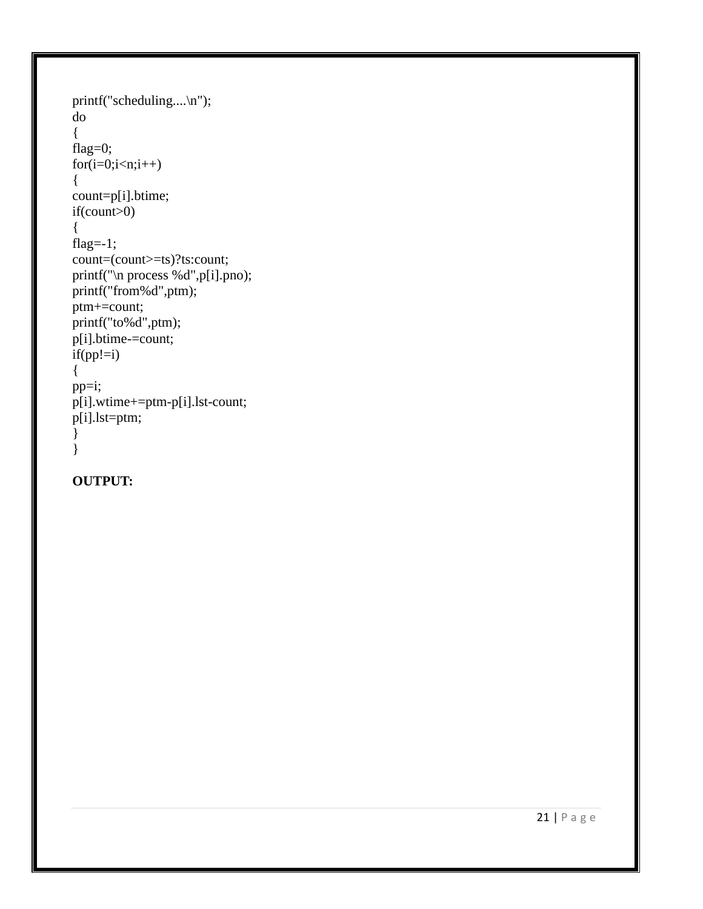```
printf("scheduling....\n");
do
{
flag=0;
for(i=0;i<n;i++){
count=p[i].btime;
if(count>0)
{
flag=-1;
count=(count>=ts)?ts:count;
printf("\n process %d",p[i].pno);
printf("from%d",ptm);
ptm+=count;
printf("to%d",ptm);
p[i].btime-=count;
if(pp!=i){
pp=i;
p[i].wtime+=ptm-p[i].lst-count;
p[i].lst=ptm;
}
}
```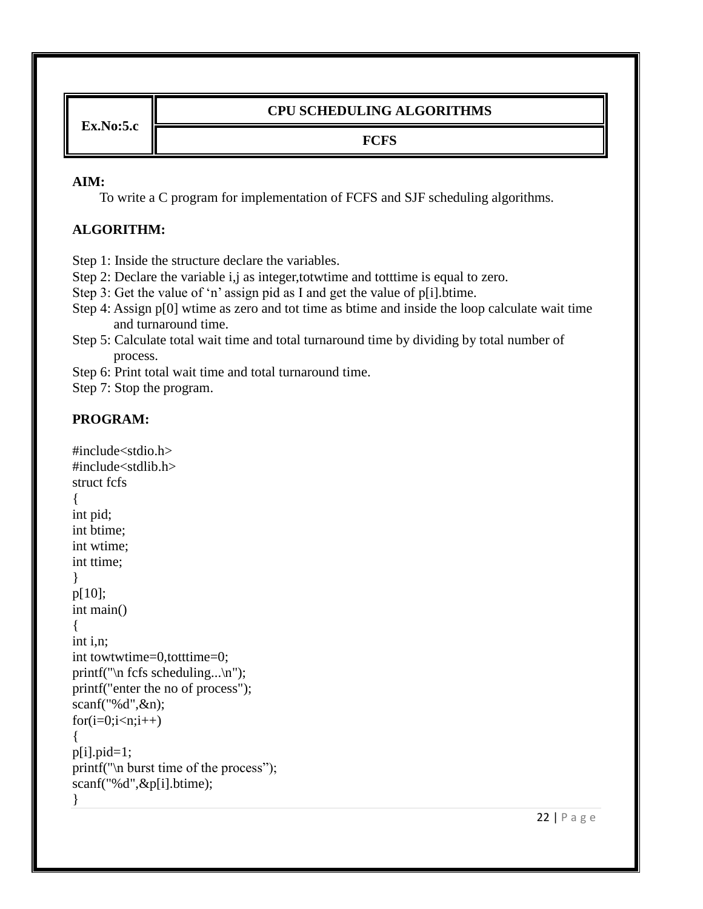**Ex.No:5.c**

### **CPU SCHEDULING ALGORITHMS**

#### **FCFS**

#### **AIM:**

To write a C program for implementation of FCFS and SJF scheduling algorithms.

### **ALGORITHM:**

Step 1: Inside the structure declare the variables.

Step 2: Declare the variable i,j as integer,totwtime and totttime is equal to zero.

Step 3: Get the value of 'n' assign pid as I and get the value of p[i].btime.

Step 4: Assign p[0] wtime as zero and tot time as btime and inside the loop calculate wait time and turnaround time.

Step 5: Calculate total wait time and total turnaround time by dividing by total number of process.

Step 6: Print total wait time and total turnaround time.

Step 7: Stop the program.

```
#include<stdio.h>
#include<stdlib.h>
struct fcfs
{
int pid;
int btime;
int wtime;
int ttime;
}
p[10];
int main()
{
int i,n;
int towtwtime=0,totttime=0;
printf("\n fcfs scheduling...\n");
printf("enter the no of process");
scanf("%d",&n);
for(i=0;i< n;i++){
p[i].pid=1;printf("\n burst time of the process");
scanf("%d",&p[i].btime);
}
```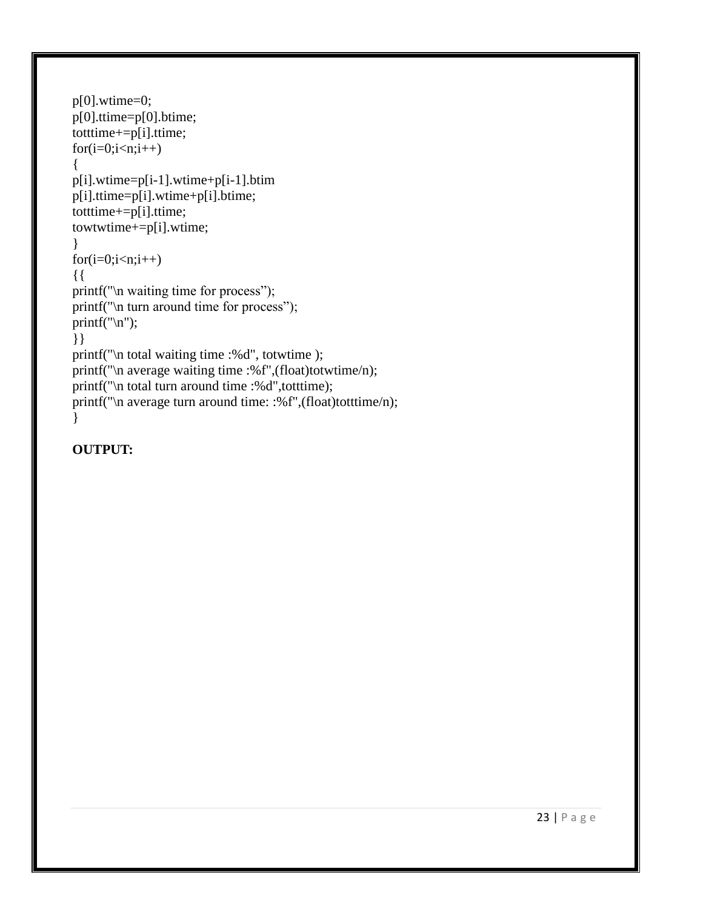```
p[0].wtime=0;
p[0].ttime=p[0].btime;
totttime+=p[i].ttime;
for(i=0;i< n;i++){
p[i].wtime=p[i-1].wtime+p[i-1].btim
p[i].ttime=p[i].wtime+p[i].btime;
totttime+=p[i].ttime;
towtwtime+=p[i].wtime;
}
for(i=0;i< n;i++){{
printf("\n waiting time for process");
printf("\n turn around time for process");
print(f("n");}}
printf("\n total waiting time :%d", totwtime );
printf("\n average waiting time :%f",(float)totwtime/n);
printf("\n total turn around time :%d",totttime);
printf("\n average turn around time: :%f",(float)totttime/n);
}
```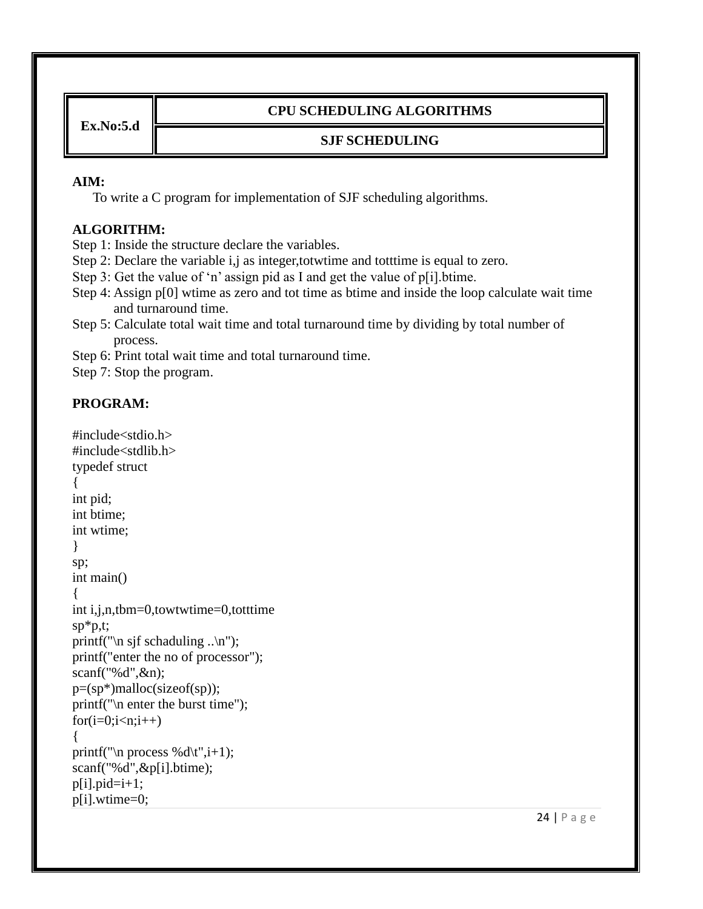**Ex.No:5.d**

### **CPU SCHEDULING ALGORITHMS**

### **SJF SCHEDULING**

#### **AIM:**

To write a C program for implementation of SJF scheduling algorithms.

# **ALGORITHM:**

Step 1: Inside the structure declare the variables.

Step 2: Declare the variable i,j as integer,totwtime and totttime is equal to zero.

Step 3: Get the value of 'n' assign pid as I and get the value of p[i].btime.

- Step 4: Assign p[0] wtime as zero and tot time as btime and inside the loop calculate wait time and turnaround time.
- Step 5: Calculate total wait time and total turnaround time by dividing by total number of process.

Step 6: Print total wait time and total turnaround time.

Step 7: Stop the program.

```
#include<stdio.h>
#include<stdlib.h>
typedef struct
{
int pid;
int btime;
int wtime;
}
sp;
int main()
{
int i,j,n,tbm=0,towtwtime=0,totttime
sp*p,t;
printf("\n sjf schaduling ..\n");
printf("enter the no of processor");
scanf("%d",&n);
p=(sp*)malloc(sizeof(sp));
printf("\n enter the burst time");
for(i=0;i< n;i++){
printf("\n process %d\t",i+1);
scanf("%d",&p[i].btime);
p[i].pid=i+1;p[i].wtime=0;
```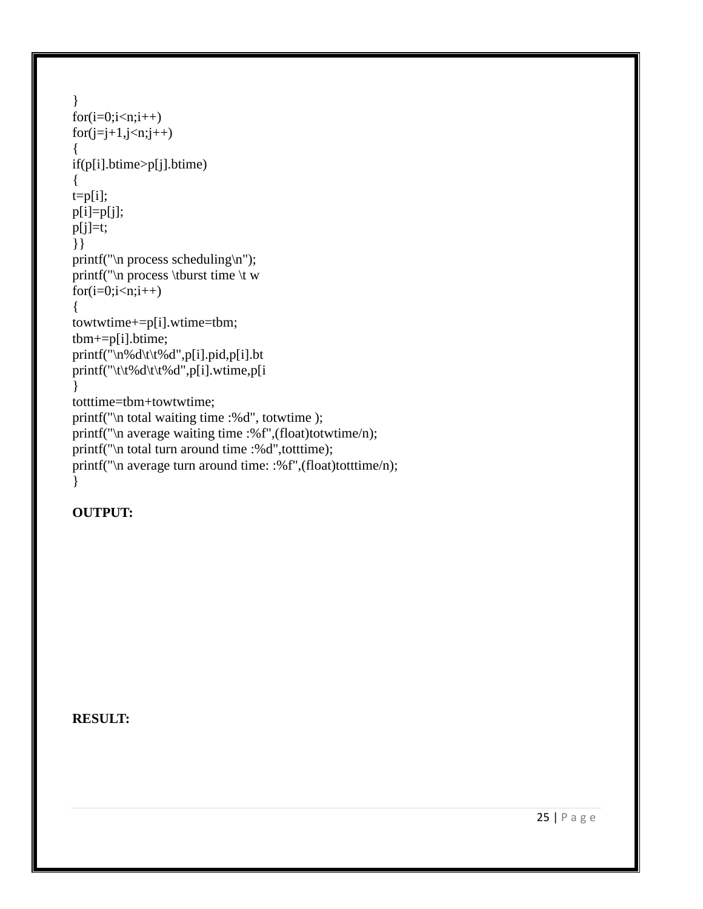```
}
for(i=0;i\leq n;i++)for(j=j+1,j\leq n;j++){
if(p[i].btime>p[j].btime)
{
t=p[i];p[i]=p[j];
p[i]=t;}}
printf("\infty process scheduling\infty");
printf("\n process \tburst time \t w
for(i=0;i<n;i++){
towtwtime+=p[i].wtime=tbm;
tbm+=p[i].btime;
printf("\n%d\t\t%d",p[i].pid,p[i].bt
printf("\t\t%d\t\t%d",p[i].wtime,p[i].
}
totttime=tbm+towtwtime;
printf("\n total waiting time :%d", totwtime );
printf("\n average waiting time :%f",(float)totwtime/n);
printf("\n total turn around time :%d",totttime);
printf("\n average turn around time: :%f",(float)totttime/n);
}
```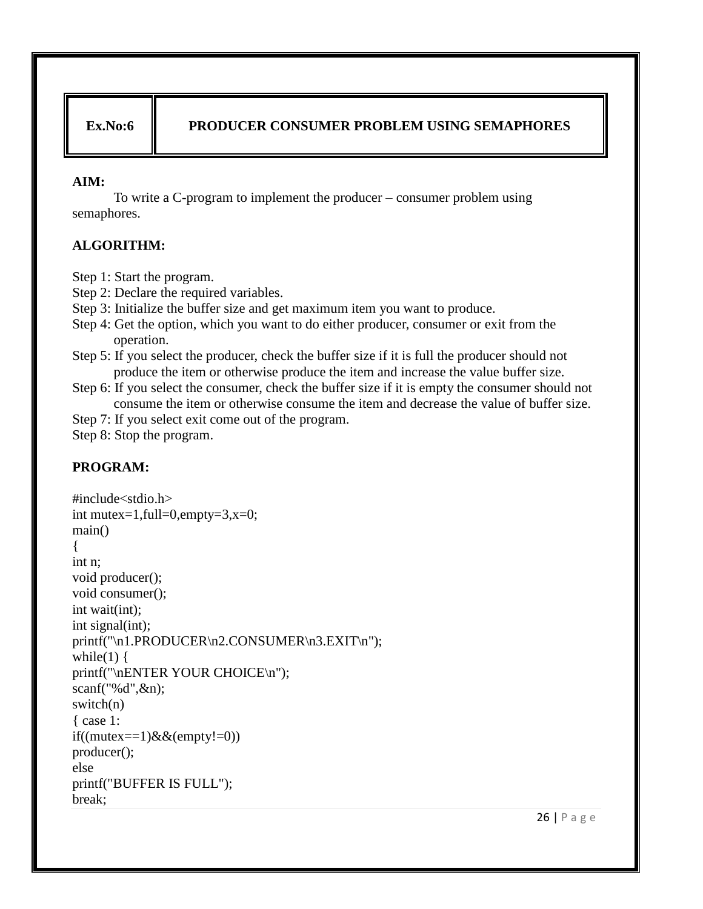### Ex.No:6 **PRODUCER CONSUMER PROBLEM USING SEMAPHORES**

#### **AIM:**

To write a C-program to implement the producer – consumer problem using semaphores.

## **ALGORITHM:**

Step 1: Start the program.

- Step 2: Declare the required variables.
- Step 3: Initialize the buffer size and get maximum item you want to produce.
- Step 4: Get the option, which you want to do either producer, consumer or exit from the operation.
- Step 5: If you select the producer, check the buffer size if it is full the producer should not produce the item or otherwise produce the item and increase the value buffer size.
- Step 6: If you select the consumer, check the buffer size if it is empty the consumer should not consume the item or otherwise consume the item and decrease the value of buffer size.
- Step 7: If you select exit come out of the program.

Step 8: Stop the program.

# **PROGRAM:**

#include<stdio.h> int mutex=1,full=0,empty=3,x=0; main() { int n; void producer(); void consumer(); int wait(int); int signal(int); printf("\n1.PRODUCER\n2.CONSUMER\n3.EXIT\n"); while(1)  $\{$ printf("\nENTER YOUR CHOICE\n"); scanf("%d",&n); switch(n) { case 1: if((mutex==1) $\&&(empty!=0))$ producer(); else printf("BUFFER IS FULL"); break;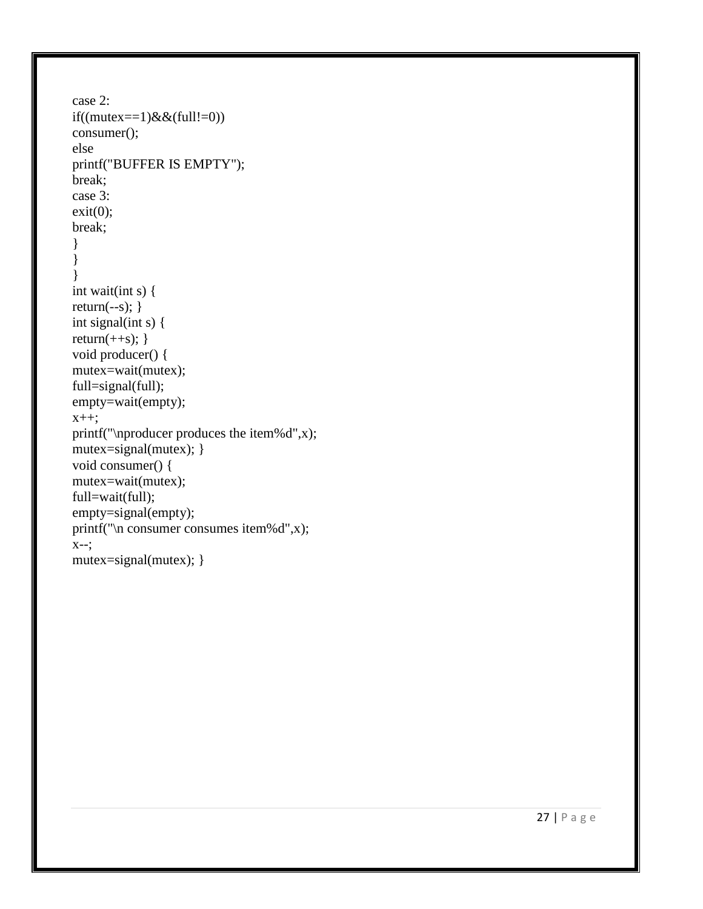```
case 2: 
if((mutex == 1) \& \& (full != 0))consumer(); 
else
printf("BUFFER IS EMPTY"); 
break; 
case 3: 
exit(0);break; 
}
}
} 
int wait(int s) { 
return(--s); \}int signal(int s) { 
return(++s); \}void producer() { 
mutex=wait(mutex);
full=signal(full);
empty=wait(empty); 
x++;
printf("\nproducer produces the item%d",x); 
mutex=signal(mutex); }
void consumer() { 
mutex=wait(mutex); 
full=wait(full); 
empty=signal(empty); 
printf("\n consumer consumes item%d",x); 
X--;mutex=signal(mutex); }
```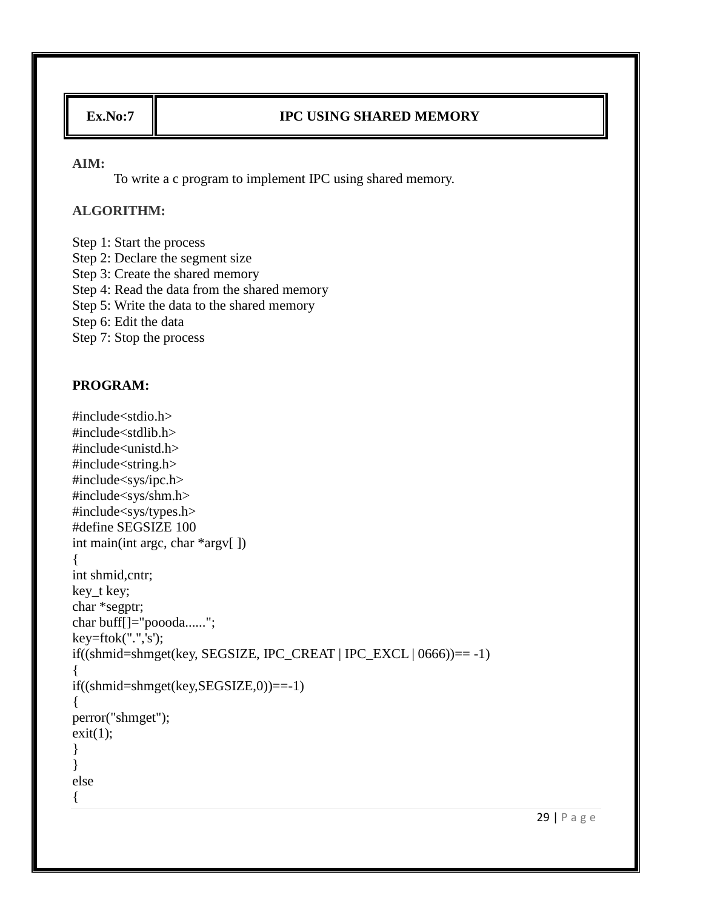# **Ex.No:7 IPC USING SHARED MEMORY**

#### **AIM:**

To write a c program to implement IPC using shared memory.

### **ALGORITHM:**

Step 1: Start the process Step 2: Declare the segment size Step 3: Create the shared memory Step 4: Read the data from the shared memory Step 5: Write the data to the shared memory Step 6: Edit the data Step 7: Stop the process

```
#include<stdio.h>
#include<stdlib.h>
#include<unistd.h>
#include<string.h>
#include<sys/ipc.h>
#include<sys/shm.h>
#include<sys/types.h>
#define SEGSIZE 100
int main(int argc, char *argv[ ])
{
int shmid,cntr;
key_t key;
char *segptr;
char buff[]="poooda......";
key=ftok(".",'s');
if((shmid=shmget(key, SEGSIZE, IPC_CREAT | IPC_EXCL | 0666))== -1)
{
if((shmid=shmget(key,SEGSIZE,0))==-1)
{
perror("shmget");
exit(1);
}
}
else
{
```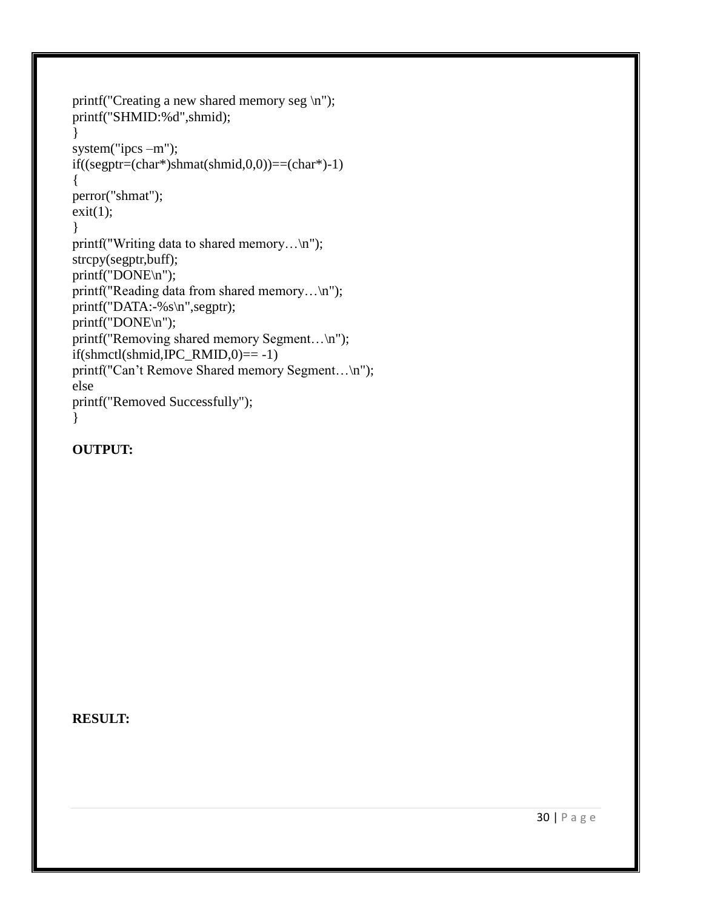```
printf("Creating a new shared memory seg \n");
printf("SHMID:%d",shmid);
}
system("ipcs –m");
if((\text{segptr}=(\text{char}^*)\text{shmat}(\text{shmid},0,0))==(\text{char}^*)-1){
perror("shmat");
exit(1);}
printf("Writing data to shared memory...\n");
strcpy(segptr,buff);
printf("DONE\n");
printf("Reading data from shared memory...\n");
printf("DATA:-%s\n",segptr);
printf("DONE\n");
printf("Removing shared memory Segment...\n");
if(\text{shmetl}(shmid, IPC\_RMID,0) == -1)printf("Can't Remove Shared memory Segment...\n");
else
printf("Removed Successfully");
}
```

```
OUTPUT:
```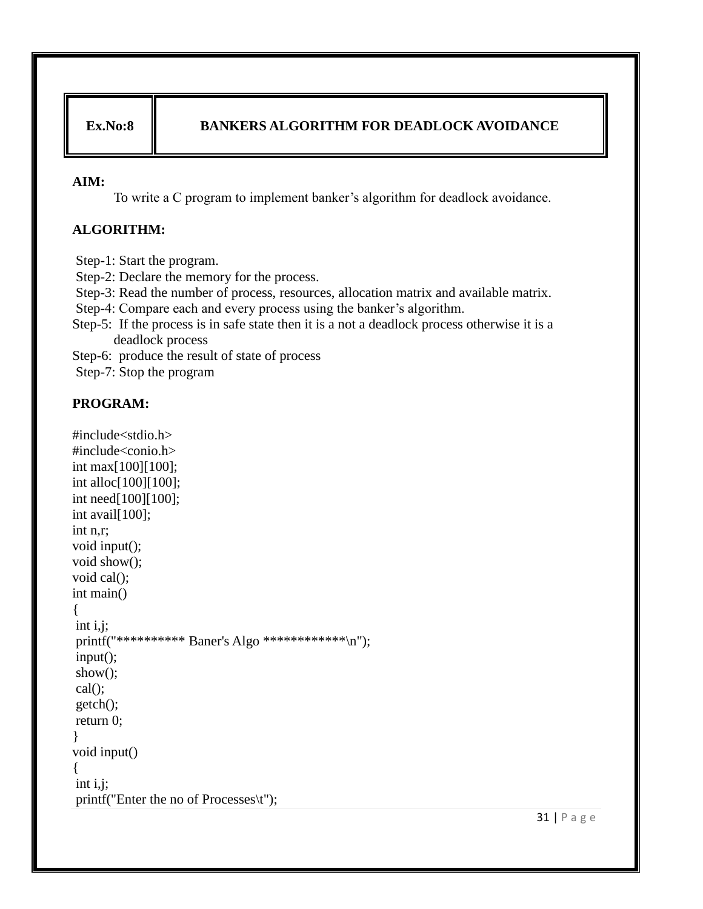### **Ex.No:8 BANKERS ALGORITHM FOR DEADLOCK AVOIDANCE**

#### **AIM:**

To write a C program to implement banker"s algorithm for deadlock avoidance.

### **ALGORITHM:**

Step-1: Start the program.

Step-2: Declare the memory for the process.

Step-3: Read the number of process, resources, allocation matrix and available matrix.

Step-4: Compare each and every process using the banker's algorithm.

Step-5: If the process is in safe state then it is a not a deadlock process otherwise it is a deadlock process

Step-6: produce the result of state of process

Step-7: Stop the program

#### **PROGRAM:**

```
#include<stdio.h>
#include<conio.h>
int max[100][100];
int alloc[100][100];
int need[100][100];
int avail[100];
int n,r;
void input();
void show();
void cal();
int main()
{
int i,j;
printf("********** Baner's Algo ************\n");
input();
show();
cal();
getch();
return 0;
}
void input()
{
int i,j;
printf("Enter the no of Processes\t");
```
31 | P a g e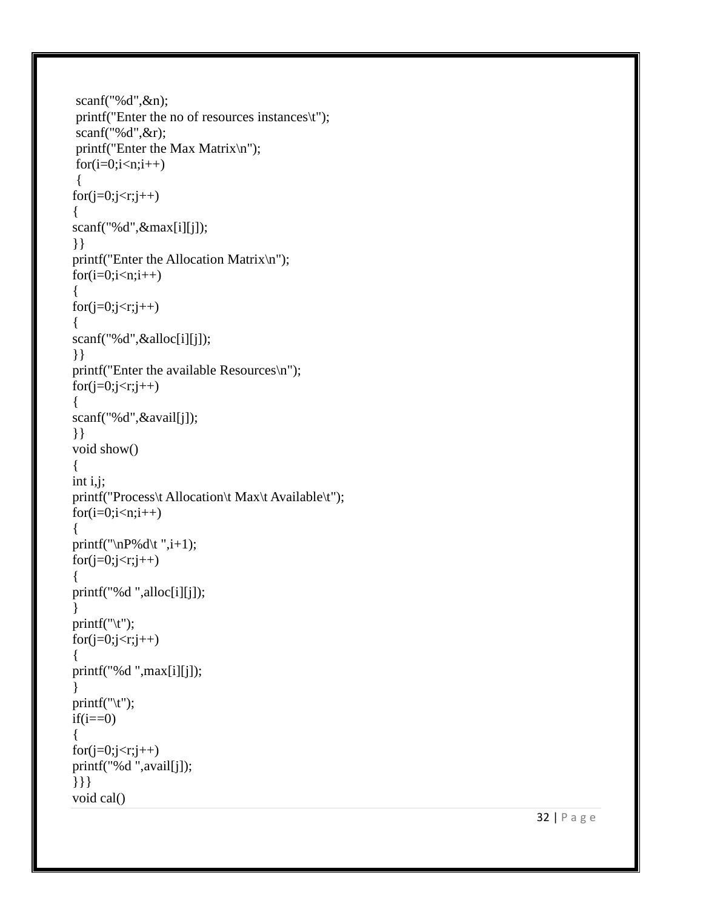```
scanf("%d",&n);
 printf("Enter the no of resources instances\t");
scanf("%d",&r);
 printf("Enter the Max Matrix\n");
for(i=0;i< n;i++){
for(j=0;j\leq r;j++)\{scanf("%d",&max[i][j]);
}}
printf("Enter the Allocation Matrix\n");
for(i=0;i< n;i++){
for(j=0;j < r;j++){
scanf("%d",&alloc[i][j]);
}}
printf("Enter the available Resources\n");
for(j=0;j\leq r;j++){
scanf("%d",&avail[j]);
}}
void show() {
int i,j
;
printf("Process\t Allocation\t Max\t Available\t");
for(i=0;i< n;i++){
printf("\nP\&d\t",i+1);for(j=0;j < r;j++){
printf("%d ",alloc[i][j]);
}
print(f''(t'');for(j=0;j\leq r;j++){
printf("%d ",max[i][j]); }
print(f''(t'');if(i==0){
for(j=0;j < r;j++)printf("%d ",avail[j]);
}}}
void cal()
```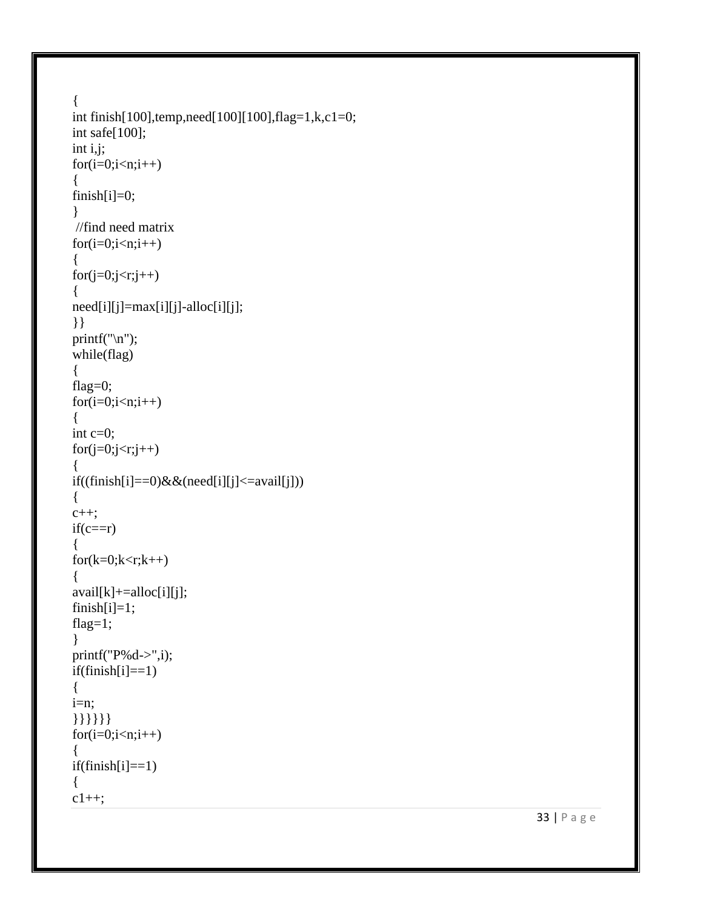```
{
int finish[100],temp,need[100][100],flag=1,k,c1=0;
int safe[100];
int i,j;
for(i=0;i< n;i++){
finish[i]=0; }
//find need matrix
for(i=0;i=n;i++){
for(j=0;j\leq r;j++){
need[i][j]=max[i][j]-alloc[i][j];
}}
print(f("n");while(flag) {
flag=0;
for(i=0;i< n;i++){
int c=0;
for(j=0;j\leq r;j++){
if((finish[i]=-0) & \& (need[i][j] <=avail[j])){
c++;if(c==r)\{for(k=0;k< r;k++){
avail[k] += alloc[i][j];finish[i]=1;flag=1; }
print(f("P%d->",i));if(finish[i]=1){
i=n;
}}}}}}
for(i=0;i=n;i++)\{if(finish[i]=1){
c1++;
```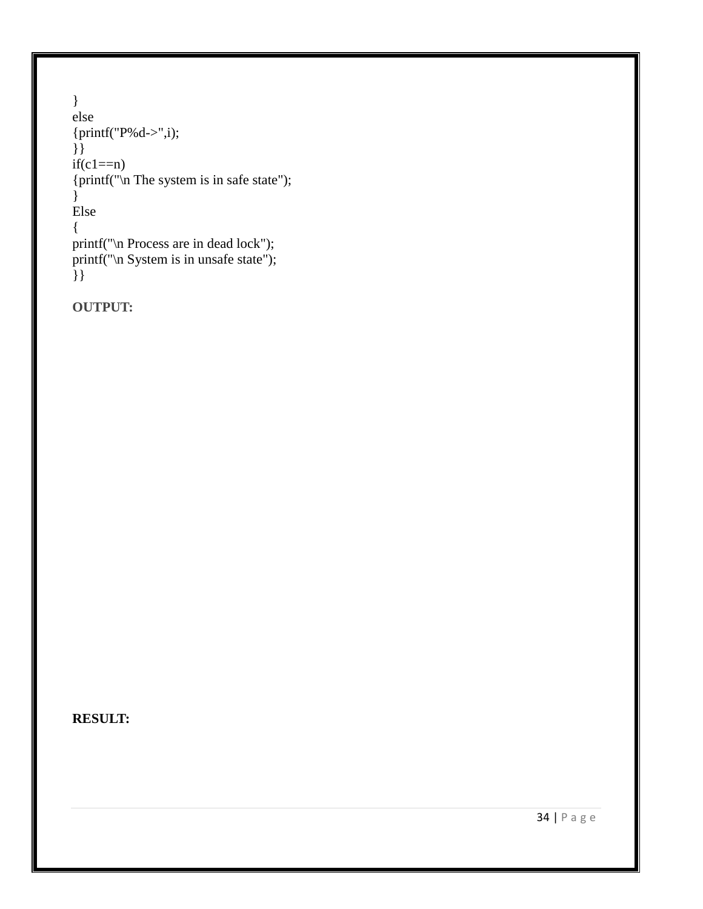```
}
else
{printf("P%d->",i);
}}
if(c1 == n){\text{print}("\n The system is in safe state");
}
Else
{
printf("\n Process are in dead lock");
printf("\n System is in unsafe state");
\left\{\right\}
```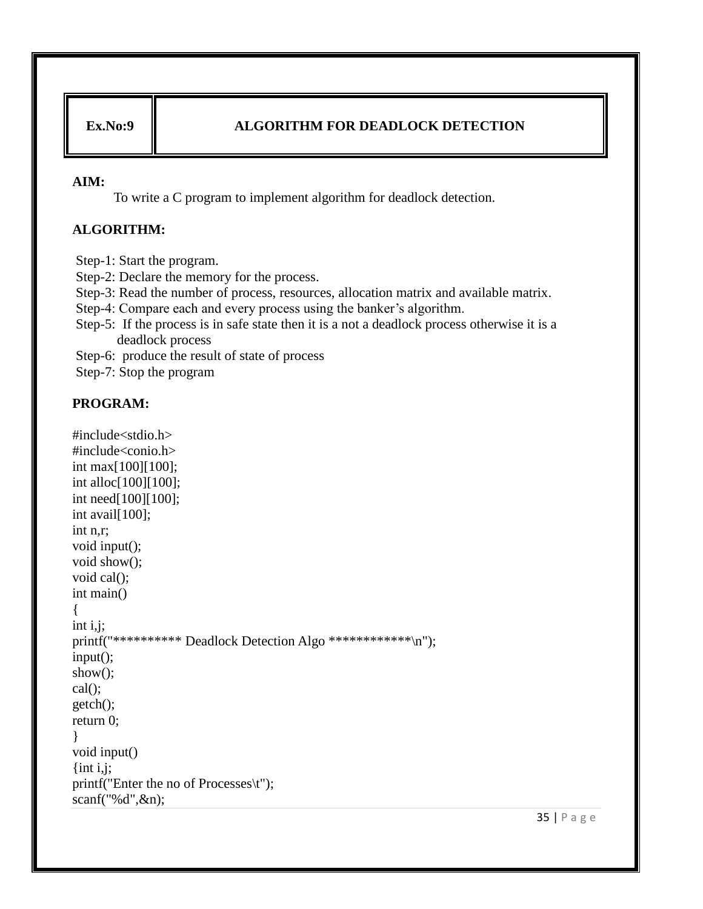### **Ex.No:9 ALGORITHM FOR DEADLOCK DETECTION**

#### **AIM:**

To write a C program to implement algorithm for deadlock detection.

### **ALGORITHM:**

Step-1: Start the program.

Step-2: Declare the memory for the process.

Step-3: Read the number of process, resources, allocation matrix and available matrix.

Step-4: Compare each and every process using the banker's algorithm.

Step-5: If the process is in safe state then it is a not a deadlock process otherwise it is a deadlock process

Step-6: produce the result of state of process

Step-7: Stop the program

#### **PROGRAM:**

```
#include<stdio.h>
#include<conio.h>
int max[100][100];
int alloc[100][100];
int need[100][100];
int avail[100];
int n,r;
void input();
void show();
void cal();
int main()
{
int i,j;
printf("************* Deadlock Detection Algo ************\n");
input();
show();
cal();
getch();
return 0;
}
void input()
\{int i,j;
printf("Enter the no of Processes\t");
scanf("%d",&n);
```
35 | P a g e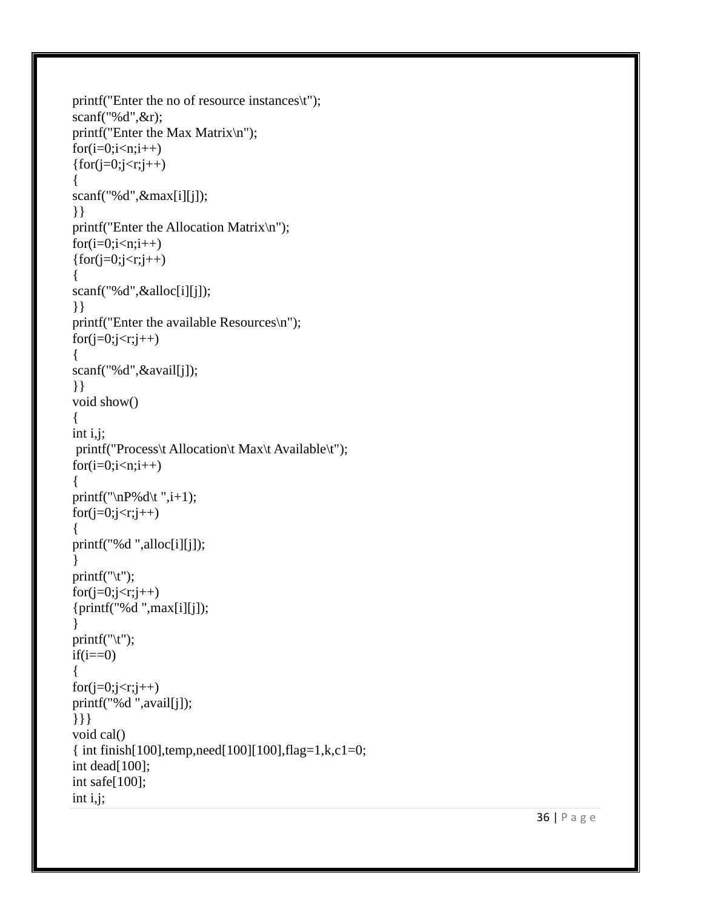```
printf("Enter the no of resource instances\t");
scanf("%d",&r);
printf("Enter the Max Matrix\n");
for(i=0;i< n;i++){for(j=0;j < r;j++)}
{
scanf("%d",&max[i][j]);
}}
printf("Enter the Allocation Matrix\n");
for(i=0;i< n;i++){for(i=0; i < r; j++)}
{
scanf("%d",&alloc[i][j]);
}}
printf("Enter the available Resources
\n");
for(j=0;j\leq r;j++){
scanf("%d",&avail[j]);
}}
void show() {
int i,j;
 printf("Process\t Allocation\t Max\t Available\t");
for(i=0;i< n;i++){
printf("\nP\&d\t",i+1);for(j=0;j < r;j++){
printf("%d ",alloc[i][j]); }
print(f''(t'');for(j=0;j\leq r;j++)\{print("%d", max[i][j]);}
print(f''(t'');if(i == 0){
for(j=0;j\leq r;j++)printf("%d ",avail[j]);
}}}
void cal()
{ int finish[100],temp,need[100][100],flag=1,k,c1=0;
int dead[100];
int safe[100];
int i,j;
```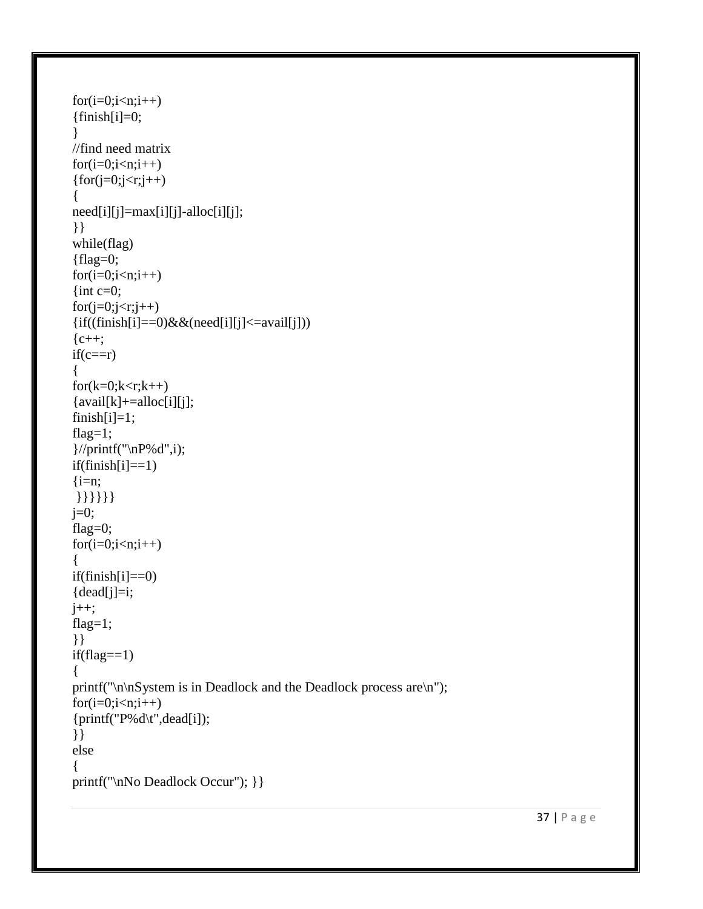```
for(i=0;i< n;i++)\{\text{finish}[i]=0;}
//find need matrix
for(i=0;i< n;i++){for(j=0;j < r;j++)}
{
need[i][j]=max[i][j]-alloc[i][j];
}}
while(flag)
{flag=0;for(i=0;i< n;i++){int c=0;
for(j=0;j\leq r;j++)\{if((finish[i]=-0) \& \& (need[i][j] \leq=avail[j]))\}{c++};
if(c==r){
for(k=0;k< r;k++)\{avail[k] += alloc[i][j];finish[i]=1;flag=1;
}//printf("\nP%d",i);
if(finish[i]=1)\{i=n;}}}}}}
j=0;
flag=0;
for(i=0;i< n;i++){
if(finish[i]=0)\{dead[j]=i;\}j_{++};
flag=1;
}}
if (flag == 1){
printf("\n\nSystem is in Deadlock and the Deadlock process are\n");
for(i=0;i< n;i++){printf("P%d\t",dead[i]);
}}
else
{
printf("\nNo Deadlock Occur"); } }
```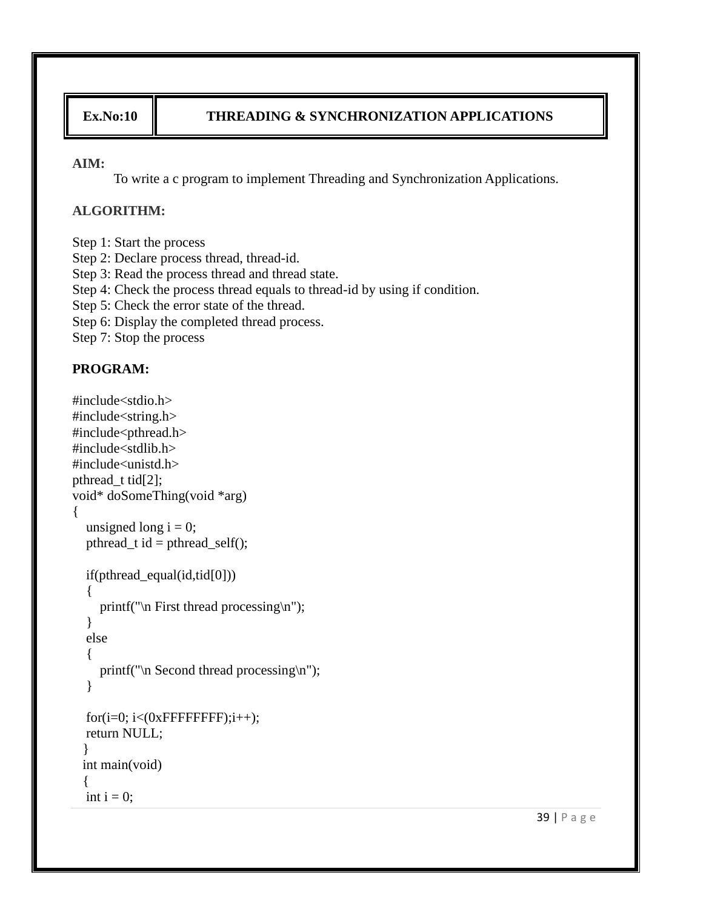# **Ex.No:10 THREADING & SYNCHRONIZATION APPLICATIONS**

#### **AIM:**

To write a c program to implement Threading and Synchronization Applications.

### **ALGORITHM:**

- Step 1: Start the process
- Step 2: Declare process thread, thread-id.
- Step 3: Read the process thread and thread state.
- Step 4: Check the process thread equals to thread-id by using if condition.
- Step 5: Check the error state of the thread.
- Step 6: Display the completed thread process.
- Step 7: Stop the process

```
#include<stdio.h>
#include<string.h>
#include<pthread.h>
#include<stdlib.h>
\#include\ltunistd.h>pthread t tid[2];
void* doSomeThing(void *arg)
{
  unsigned long i = 0;
  pthread_t id = pthread_self();
   if(pthread_equal(id,tid[0]))
   {
    printf("\n First thread processing\n");
   }
   else
   {
     printf("\n Second thread processing\n");
   }
  for(i=0; i<(0xFFFFFFFFF);i++);
   return NULL;
  }
 int main(void)
  {
  int i = 0;
```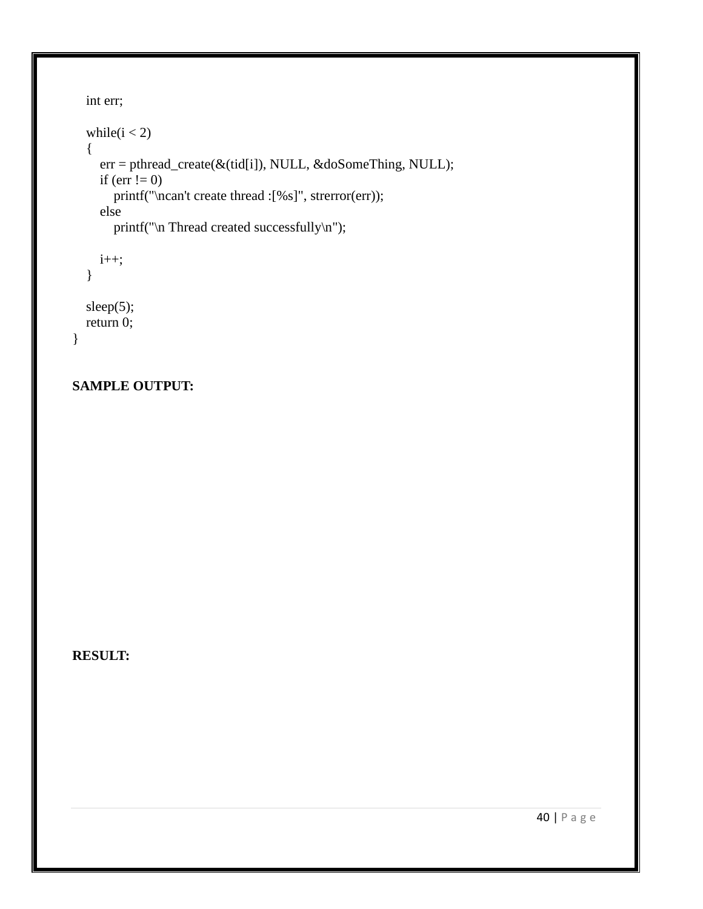```
 int err;
while (i < 2) {
   err = pthread_create(&(tid[i]), NULL, &doSomeThing, NULL);
  if (err != 0)
     printf("\ncan't create thread :[%s]", strerror(err));
   else
     printf("\n Thread created successfully\n");
  i_{++};
 }
 sleep(5);
```

```
 return 0;
```

```
}
```
## **SAMPLE OUTPUT:**

**RESULT:**

40 | P a g e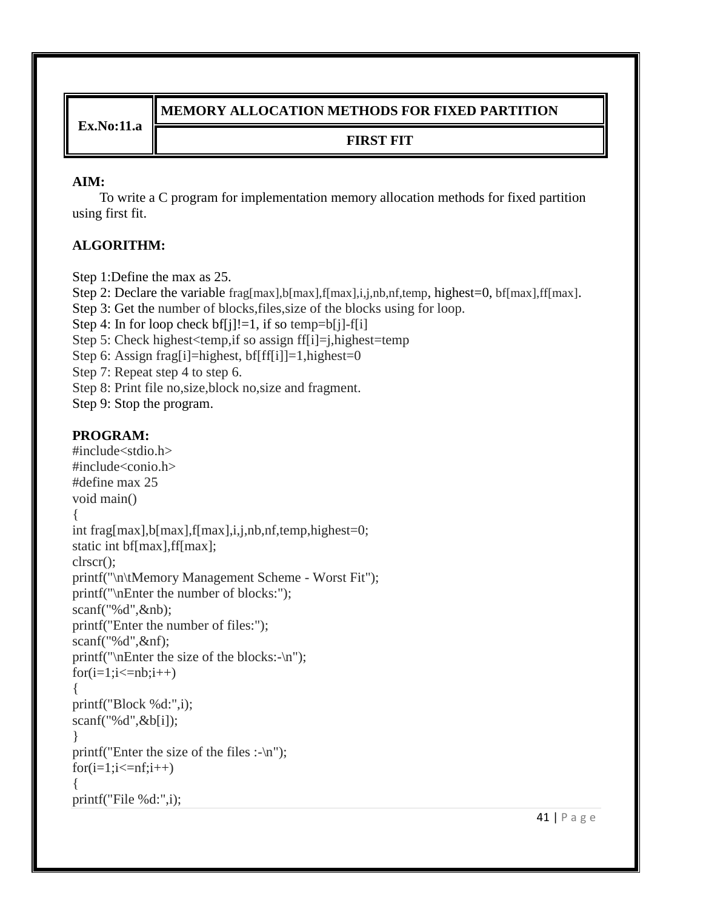**Ex.No:11.a**

# **MEMORY ALLOCATION METHODS FOR FIXED PARTITION**

# **FIRST FIT**

## **AIM:**

 To write a C program for implementation memory allocation methods for fixed partition using first fit.

# **ALGORITHM:**

Step 1:Define the max as 25.

Step 2: Declare the variable frag[max],b[max],f[max],i,j,nb,nf,temp, highest=0, bf[max],ff[max].

Step 3: Get the number of blocks,files,size of the blocks using for loop.

Step 4: In for loop check  $bf[i]!=1$ , if so temp=b[j]-f[i]

Step 5: Check highest<temp,if so assign ff[i]=j,highest=temp

Step 6: Assign frag[i]=highest, bf[ff[i]]=1,highest=0

Step 7: Repeat step 4 to step 6.

Step 8: Print file no,size,block no,size and fragment.

Step 9: Stop the program.

```
#include<stdio.h>
#include<conio.h>
#define max 25
void main()
{
int frag[max],b[max],f[max],i,j,nb,nf,temp,highest=0;
static int bf[max],ff[max];
clrscr();
printf("\n\tMemory Management Scheme - Worst Fit");
printf("\nEnter the number of blocks:");
scanf("%d",&nb);
printf("Enter the number of files:");
scanf("%d",&nf);
printf("\nEnter the size of the blocks:-\n");
for(i=1;i<=nb;i++){
printf("Block %d:",i);
scanf("%d",&b[i]);
}
printf("Enter the size of the files :-\n");
for(i=1;i<=nf;i++){
printf("File %d:",i);
```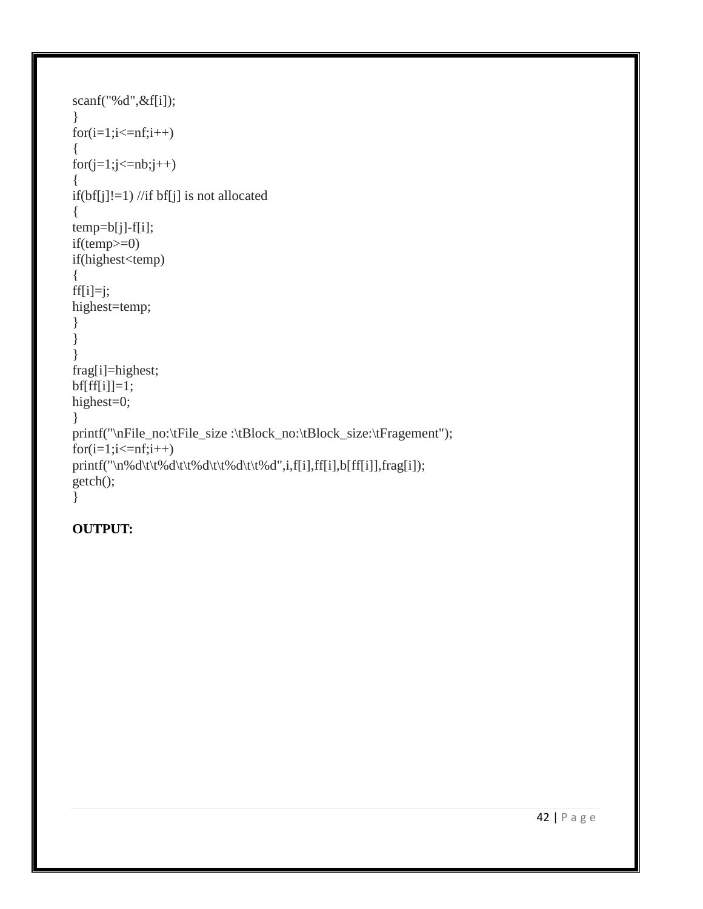```
scanf("%d",&f[i]);
}
for(i=1;i<=nf;i++){
for(j=1;j<=nb;j++){
if(bf[j]!=1) //if bf[j] is not allocated
{
temp=b[j]-f[i];
if(temp>=0)
if(highest<temp)
{
ff[i]=j;highest=temp;
}
}
}
frag[i]=highest;
bf[f[f]]=1;highest=0;
}
printf("\nFile_no:\tFile_size :\tBlock_no:\tBlock_size:\tFragement");
for(i=1;i<=nf;i++)printf("\n%d\t\t%d\t\t%d\t\t%d\t\t%d",i,f[i],ff[i],b[ff[i]],frag[i]);
getch();
}
```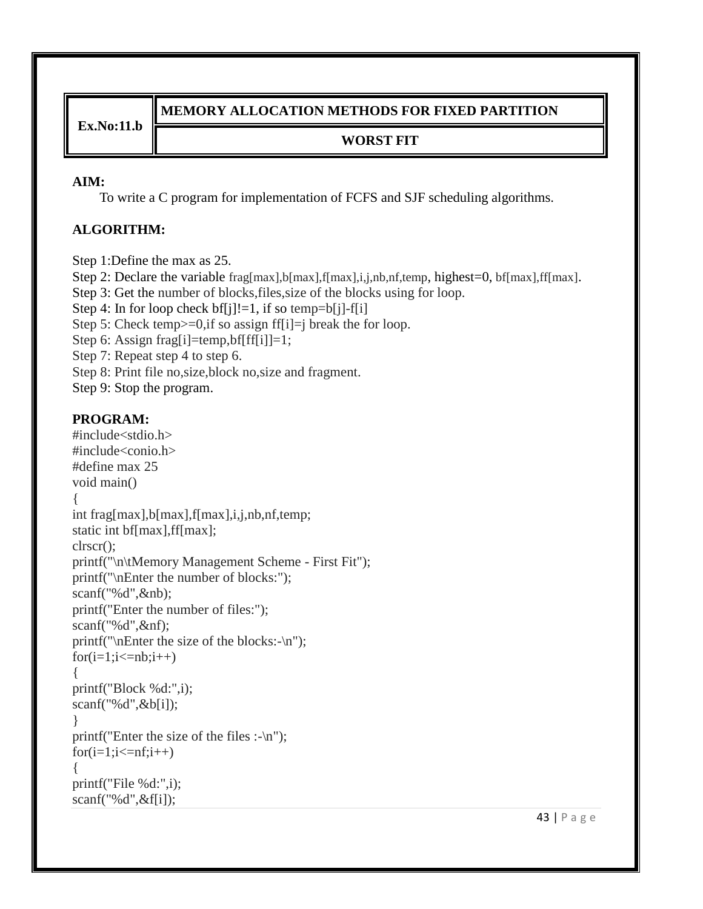**Ex.No:11.b**

# **MEMORY ALLOCATION METHODS FOR FIXED PARTITION**

# **WORST FIT**

### **AIM:**

To write a C program for implementation of FCFS and SJF scheduling algorithms.

# **ALGORITHM:**

Step 1:Define the max as 25.

Step 2: Declare the variable frag[max],b[max],f[max],i,j,nb,nf,temp, highest=0, bf[max],ff[max].

Step 3: Get the number of blocks,files,size of the blocks using for loop.

Step 4: In for loop check  $bf[j]!=1$ , if so temp=b[j]-f[i]

Step 5: Check temp $>=0$ , if so assign ff[i]=j break the for loop.

Step 6: Assign frag[i]=temp,bf[ff[i]]=1;

Step 7: Repeat step 4 to step 6.

Step 8: Print file no,size,block no,size and fragment.

Step 9: Stop the program.

```
#include<stdio.h>
#include<conio.h>
#define max 25
void main()
{
int frag[max],b[max],f[max],i,j,nb,nf,temp;
static int bf[max],ff[max];
clrscr();
printf("\n\tMemory Management Scheme - First Fit");
printf("\nEnter the number of blocks:");
scanf("%d",&nb);
printf("Enter the number of files:");
scanf("%d",&nf);
printf("\nEnter the size of the blocks:-\n");
for(i=1;i<=nb;i++){
printf("Block %d:",i);
scanf("%d",&b[i]);
}
printf("Enter the size of the files :-\n");
for(i=1;i<=nf;i++){
printf("File %d:",i);
scanf("%d",&f[i]);
```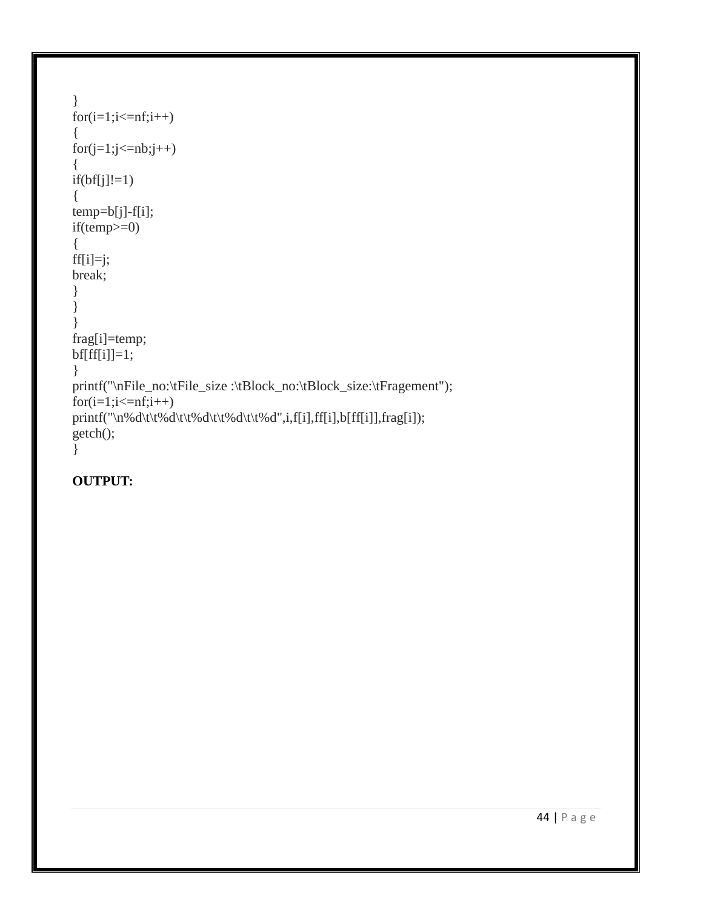```
}
for(i=1;i<=nf;i++){
for(j=1;j<=nb;j++)\{if(bf[j]!=1){
temp=b[j]-f[i];
if(temp>=0)
{
ff[i]=j;break;
}
}
}
frag[i]=temp;
bf[f[f]]=1;}
printf("\nFile_no:\tFile_size :\tBlock_no:\tBlock_size:\tFragement");
for(i=1;i<=nf;i++)print(''\n%d\t\t%d\t\t%d\t\t%d\t\t%d'\t\t%d'',i,f[i],ff[i],b[ff[i]],frag[i]);getch();
}
```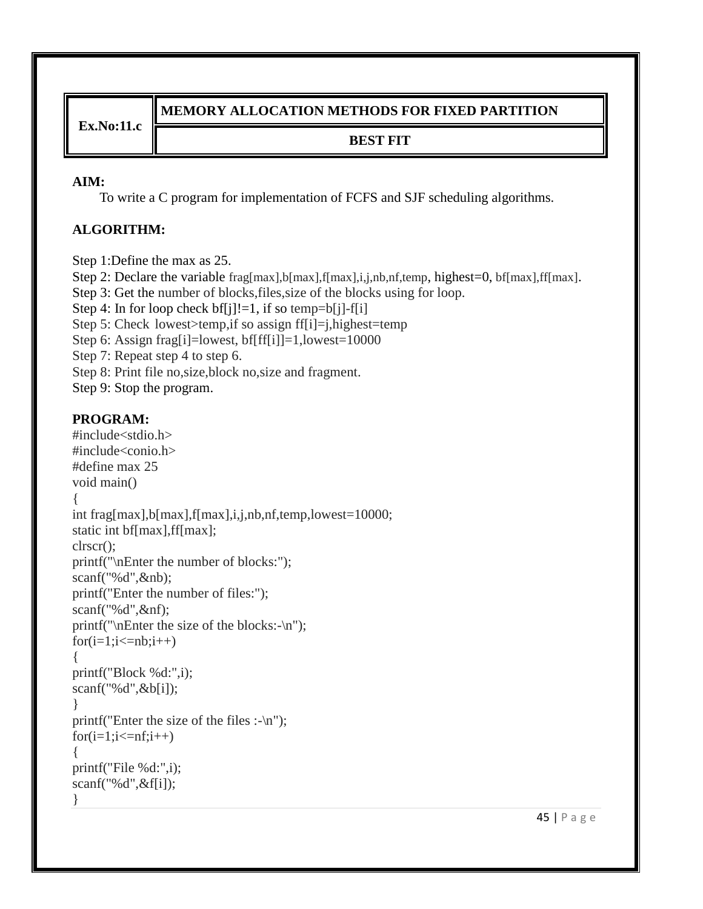**Ex.No:11.c**

# **MEMORY ALLOCATION METHODS FOR FIXED PARTITION**

## **BEST FIT**

### **AIM:**

To write a C program for implementation of FCFS and SJF scheduling algorithms.

# **ALGORITHM:**

Step 1:Define the max as 25. Step 2: Declare the variable frag[max],b[max],f[max],i,j,nb,nf,temp, highest=0, bf[max],ff[max]. Step 3: Get the number of blocks,files,size of the blocks using for loop. Step 4: In for loop check  $bf[j]!=1$ , if so temp=b[j]-f[i] Step 5: Check lowest>temp,if so assign ff[i]=j,highest=temp Step 6: Assign frag[i]=lowest, bf[ff[i]]=1,lowest=10000 Step 7: Repeat step 4 to step 6. Step 8: Print file no,size,block no,size and fragment. Step 9: Stop the program.

```
#include<stdio.h>
#include<conio.h>
#define max 25
void main()
{
int frag[max],b[max],f[max],i,j,nb,nf,temp,lowest=10000;
static int bf[max],ff[max];
clrscr();
printf("\nEnter the number of blocks:");
scanf("%d",&nb);
printf("Enter the number of files:");
scanf("%d",&nf);
printf("\nEnter the size of the blocks:-\n");
for(i=1;i<=nb;i++){
printf("Block %d:",i);
scanf("%d",&b[i]);
}
printf("Enter the size of the files :\neg'n");
for(i=1;i<=nf;i++){
printf("File %d:",i);
scanf("%d",&f[i]);
}
```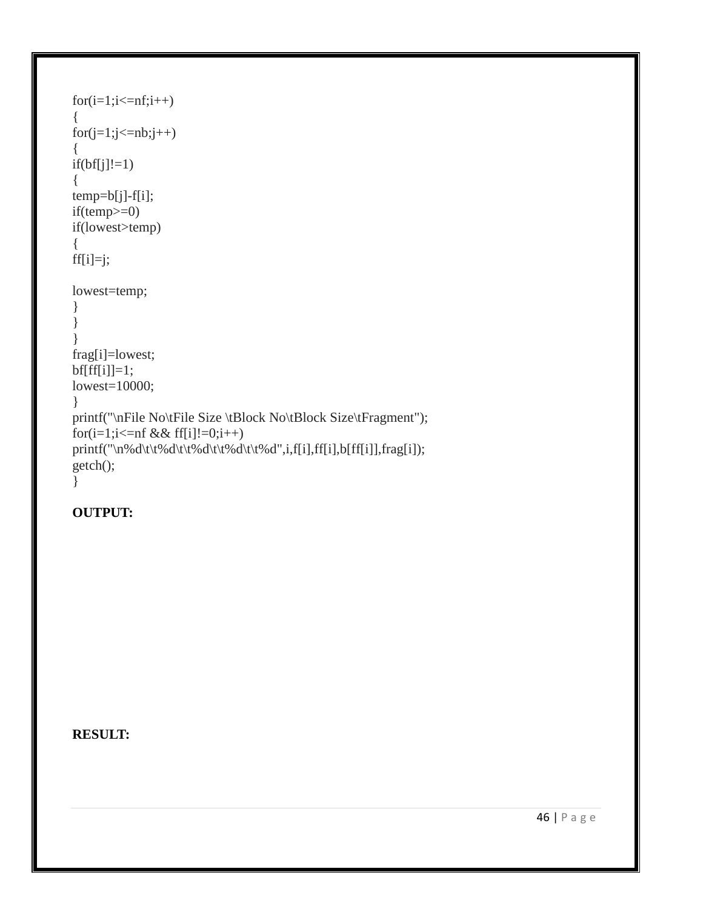```
for(i=1;i<=nf;i++){
for(j=1;j<=nb;j++){
if(bf[j]!=1){
temp=b[j]-f[i];
if(temp>=0)
if(lowest>temp)
\{ff[i]=j;lowest=temp;
}
}
}
frag[i]=lowest;
bf[f[f]]=1;lowest=10000;
}
printf("\nFile No\tFile Size \tBlock No\tBlock Size\tFragment");
for(i=1;i<=nf && ff[i]!=0;i++)
printf("\n%d\t\t%d\t\t%d\t\t%d\t\t%d\t\t%d",i,f[i],ff[i],b[ff[i]],frag[i]);
getch();
}
```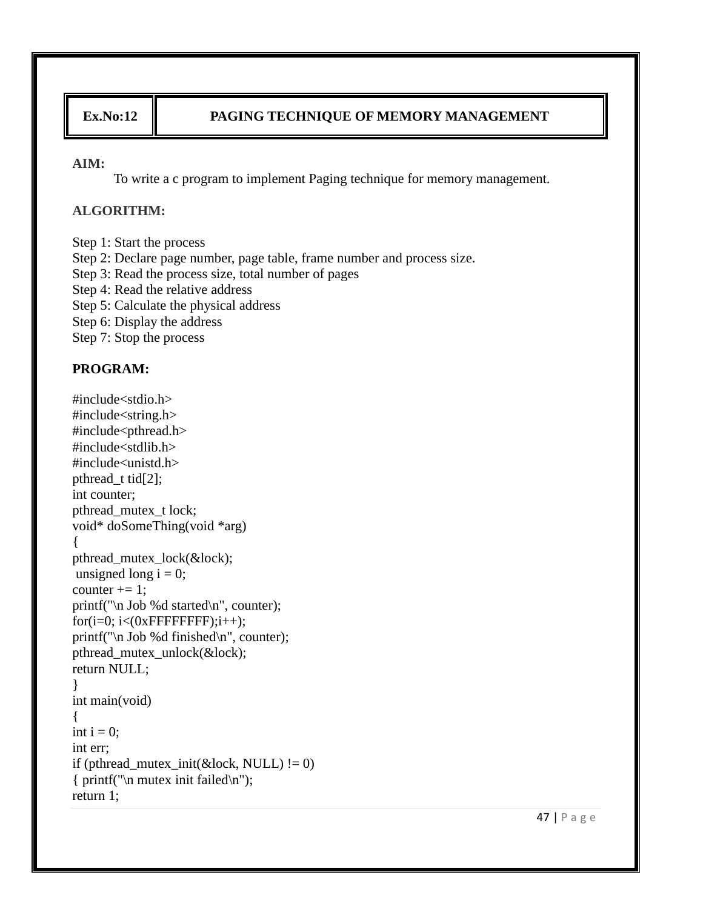## **Ex.No:12 PAGING TECHNIQUE OF MEMORY MANAGEMENT**

#### **AIM:**

To write a c program to implement Paging technique for memory management.

#### **ALGORITHM:**

Step 1: Start the process Step 2: Declare page number, page table, frame number and process size. Step 3: Read the process size, total number of pages Step 4: Read the relative address Step 5: Calculate the physical address Step 6: Display the address Step 7: Stop the process

### **PROGRAM:**

#include<stdio.h> #include<string.h> #include<pthread.h> #include<stdlib.h> #include<unistd.h> pthread\_t tid[2]; int counter; pthread\_mutex\_t lock; void\* doSomeThing(void \*arg) { pthread\_mutex\_lock(&lock); unsigned long  $i = 0$ ; counter  $+= 1$ ; printf("\n Job %d started\n", counter); for(i=0;  $i<(0x$ FFFFFFFF;); $i++$ ); printf("\n Job %d finished\n", counter); pthread\_mutex\_unlock(&lock); return NULL; } int main(void) { int  $i = 0$ ; int err; if (pthread\_mutex\_init( $\&$ lock, NULL) != 0) { printf("\n mutex init failed\n"); return 1;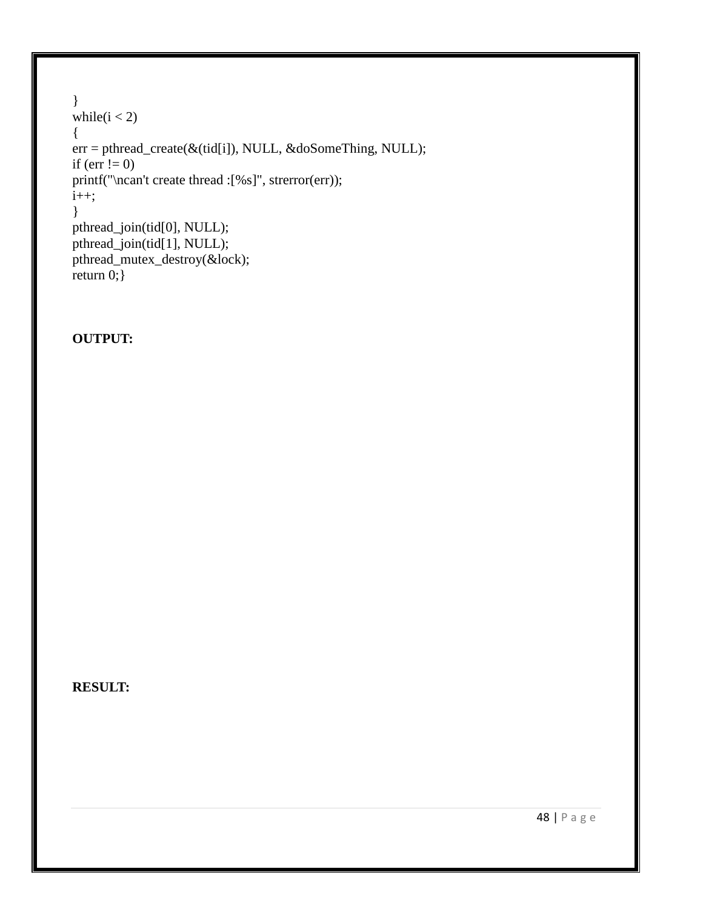```
}
while(i < 2)
{
err = pthread_create(&(tid[i]), NULL, &doSomeThing, NULL);
if (err != 0)
printf("\ncan't create thread :[%s]", strerror(err));
i++;
}
pthread_join(tid[0], NULL);
pthread_join(tid[1], NULL);
pthread_mutex_destroy(&lock);
return 0;}
```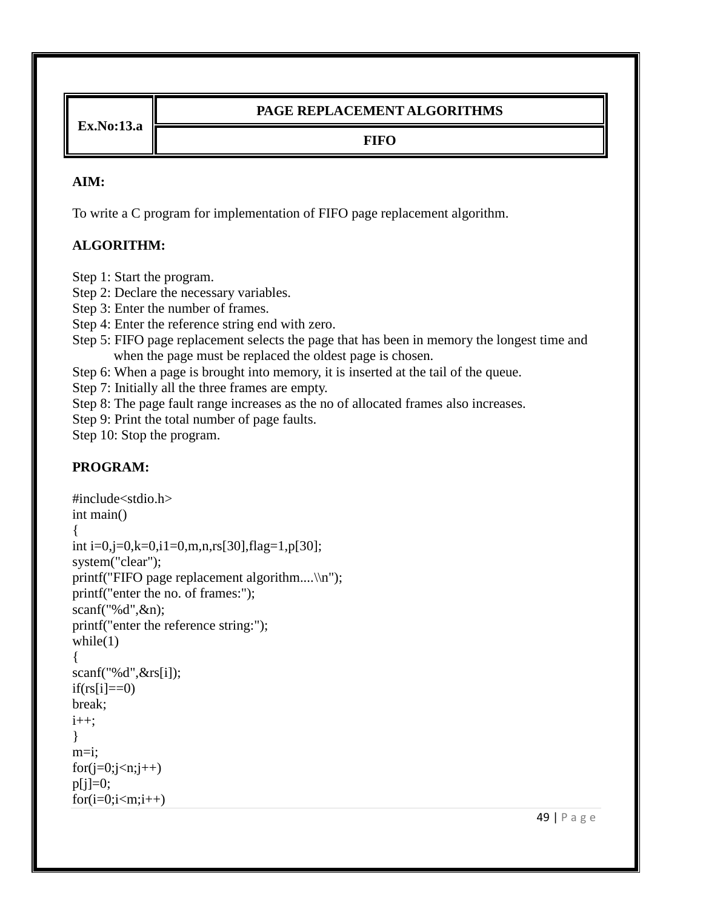**Ex.No:13.a**

## **PAGE REPLACEMENT ALGORITHMS**

### **FIFO**

### **AIM:**

To write a C program for implementation of FIFO page replacement algorithm.

## **ALGORITHM:**

Step 1: Start the program.

Step 2: Declare the necessary variables.

Step 3: Enter the number of frames.

Step 4: Enter the reference string end with zero.

Step 5: FIFO page replacement selects the page that has been in memory the longest time and when the page must be replaced the oldest page is chosen.

Step 6: When a page is brought into memory, it is inserted at the tail of the queue.

Step 7: Initially all the three frames are empty.

Step 8: The page fault range increases as the no of allocated frames also increases.

Step 9: Print the total number of page faults.

Step 10: Stop the program.

```
#include<stdio.h>
int main()
{
int i=0,j=0,k=0,i1=0,m,n,rs[30],flag=1,p[30];
system("clear");
printf("FIFO page replacement algorithm....\\n");
printf("enter the no. of frames:");
scanf("%d",&n);
printf("enter the reference string:");
while(1){
scanf("%d",&rs[i]);
if(rs[i]=0)break;
i++;
}
m=i;
for(j=0;j\leq n;j++)p[i]=0;for(i=0;i<m;i++)
```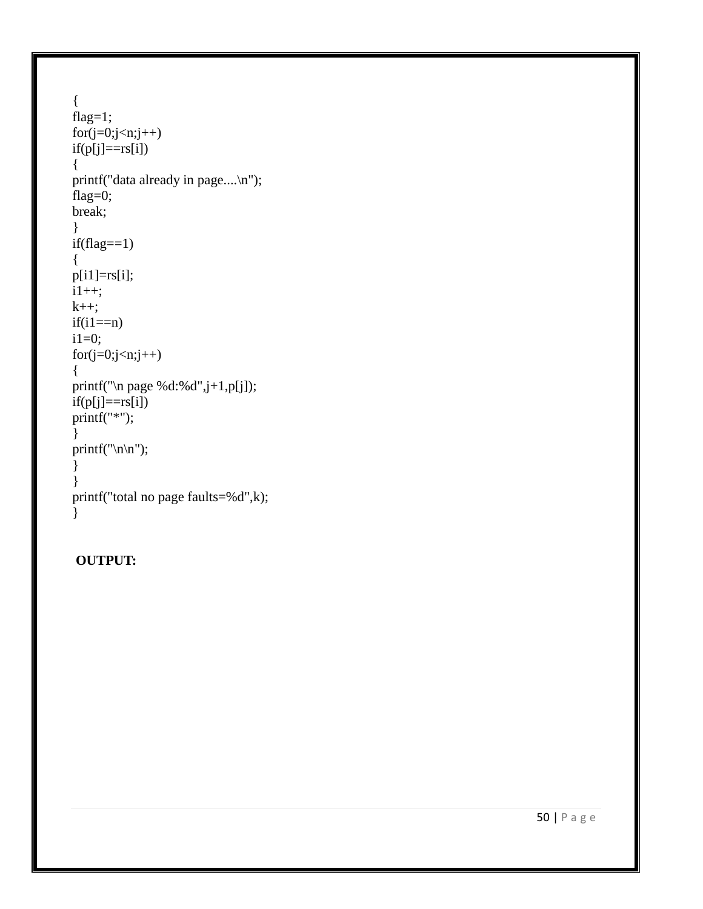```
{
flag=1;
for(j=0;j< n;j++)if(p[j]==rs[i]){
printf("data already in page....
\n");
flag=0;
break; }
if (flag == 1){
p[i1]=rs[i];
i1++;k++;if(i1 == n)i1=0;
for(j=0;j< n;j++){
printf("
\n page %d:%d",j+1,p[j]);
if(p[j]==rs[i])printf("*"); }
printf("\n\n");
}}
printf("total no page faults=%d",k); }
```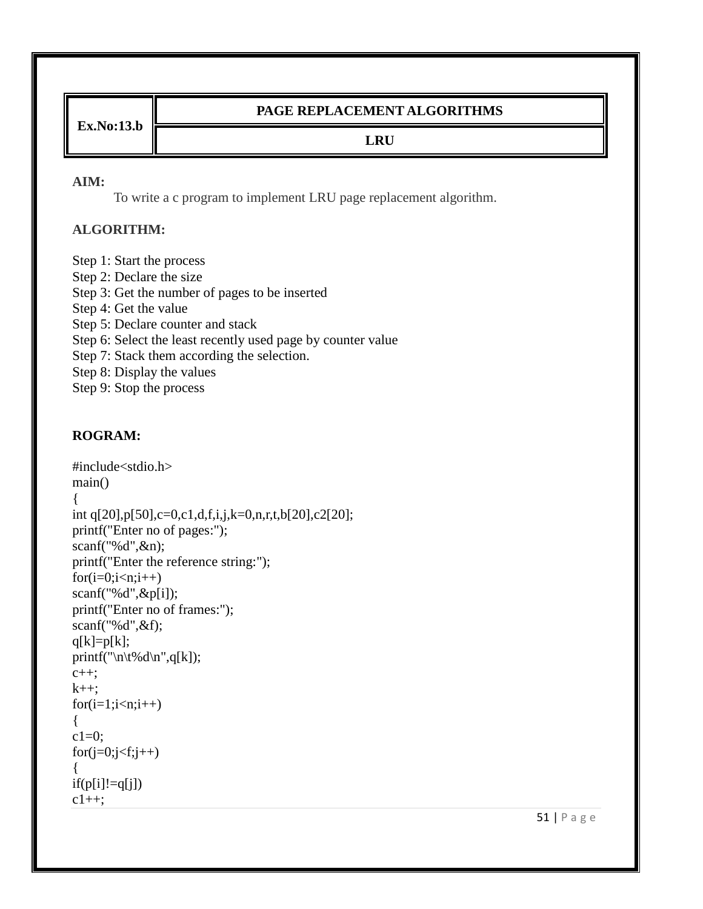**Ex.No:13.b**

## **PAGE REPLACEMENT ALGORITHMS**

### **LRU**

#### **AIM:**

To write a c program to implement LRU page replacement algorithm.

### **ALGORITHM:**

Step 1: Start the process Step 2: Declare the size Step 3: Get the number of pages to be inserted Step 4: Get the value Step 5: Declare counter and stack Step 6: Select the least recently used page by counter value Step 7: Stack them according the selection. Step 8: Display the values Step 9: Stop the process

```
#include<stdio.h>
main()
{
int q[20],p[50],c=0,c1,d,f,i,j,k=0,n,r,t,b[20],c2[20];
printf("Enter no of pages:");
scanf("%d",&n);
printf("Enter the reference string:");
for(i=0;i< n;i++)scanf("%d",&p[i]);
printf("Enter no of frames:");
scanf("%d",&f);
q[k]=p[k];printf("\n\t%d\n",q[k]);
c++;
k++;
for(i=1;i\leq n;i++){
c1=0;
for(j=0;j\le f;j++){
if(p[i]!=q[j])c1++;
```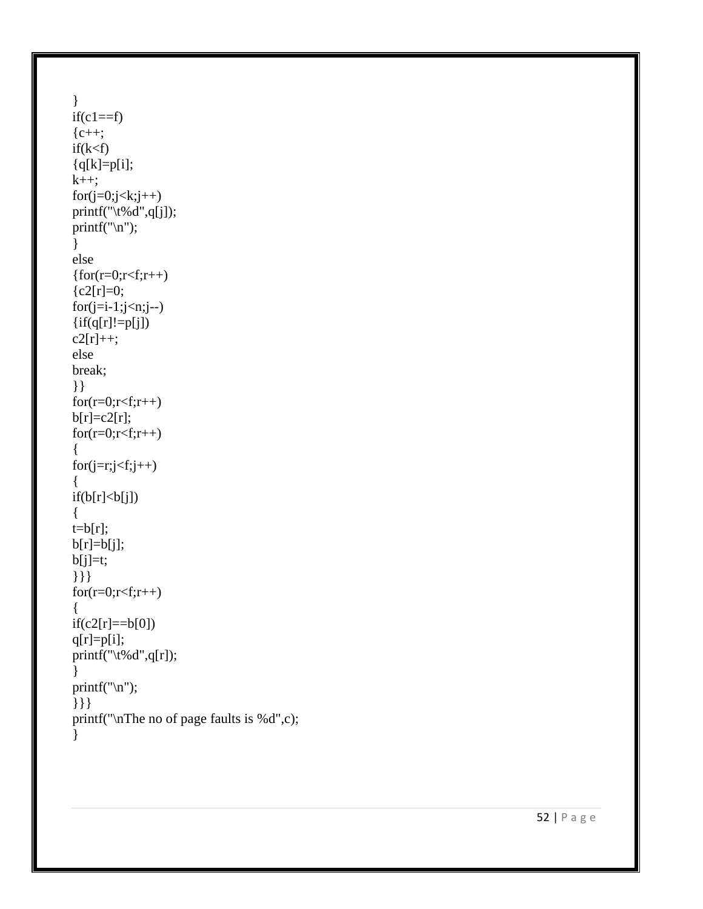```
}
if(c1==f){c++};
if(k < f){q[k]=p[i];k++;for(j=0;j\leq k;j++)print(f''\setminus t\% d'', q[j]);print(f("n");}
else
{for(r=0;r< f;r++)}{c2[r]=0;}for(j=i-1;j\leq n;j-1)\{if(q[r]!=p[j])\}c2[r]++;else
break; }}
for(r=0;r< f;r++)b[r]=c2[r];for(r=0;r< f;r++){
for(j=r;j\leq f;j++){
if(b[r]<b[j]){
t=b[r];b[r]=b[j];b[j]=t;}}}
for(r=0;r< f;r++){
if(c2[r]{=}=b[0])q[r]=p[i];print(f''\setminus t\% d'', q[r]);}
print(f("n");}}}
printf("
\nThe no of page faults is %d",c);
}
```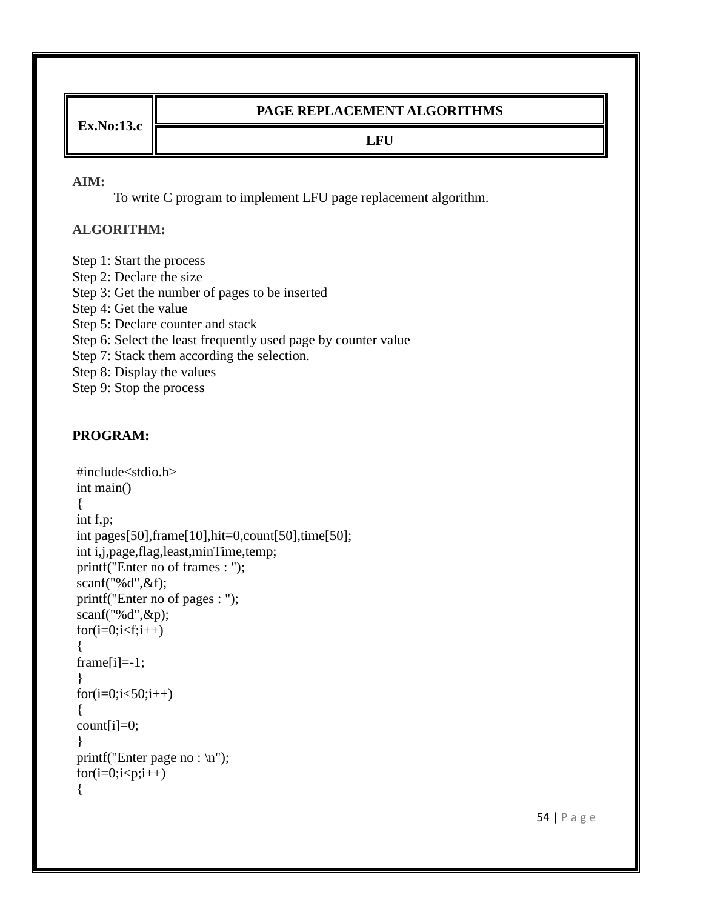**Ex.No:13.c**

### **PAGE REPLACEMENT ALGORITHMS**

#### **LFU**

#### **AIM:**

To write C program to implement LFU page replacement algorithm.

### **ALGORITHM:**

Step 1: Start the process Step 2: Declare the size Step 3: Get the number of pages to be inserted Step 4: Get the value Step 5: Declare counter and stack Step 6: Select the least frequently used page by counter value Step 7: Stack them according the selection. Step 8: Display the values Step 9: Stop the process

```
#include<stdio.h>
int main()
{
int f,p;
int pages[50],frame[10],hit=0,count[50],time[50];
int i,j,page,flag,least,minTime,temp;
printf("Enter no of frames : ");
scanf("%d",&f);
printf("Enter no of pages : ");
scanf("%d",&p);
for(i=0;i< f;i++){
frame[i]=-1;}
for(i=0; i<50; i++){
count[i]=0;}
printf("Enter page no : \langle n" \rangle;
for(i=0;i<p;i++){
```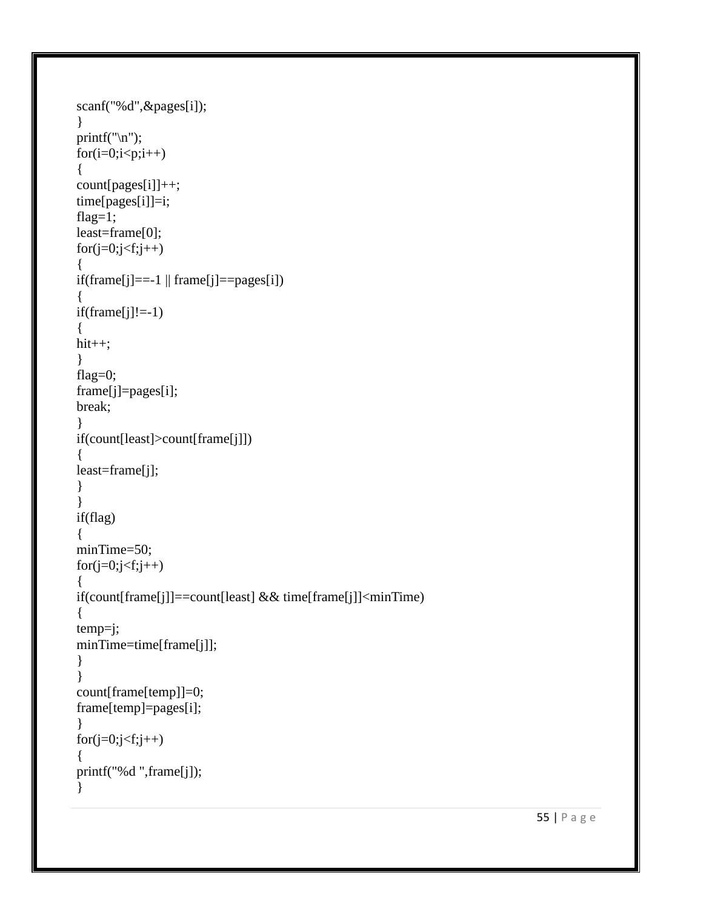```
scanf("%d",&pages[i]);
}
printf(\lceil \ln \rceil);
for(i=0;i < p;i++){
count[pages[i]]++;
time[pages[i]]=i;
flag=1;
least=frame[0];
for(j=0;j\leq f;j++){
if(frame[j] == -1 \parallel frame[j] == pages[i]){
if(fname[j]!=-1)\mathcal{L}hit++;
}
flag=0;
frame[j]=pages[i];
break;
}
if(count[least]>count[frame[j]])
{
least=frame[j];
}
}
if(flag)
\{minTime=50;
for(j=0;j\leq f;j++){
if(count[frame[j]]==count[least] && time[frame[j]]<minTime)
{
temp=j;
minTime=time[frame[j]];
}
}
count[frame[temp]]=0;
frame[temp]=pages[i];
}
for(j=0;j\leq f;j++){
printf("%d ",frame[j]);
}
```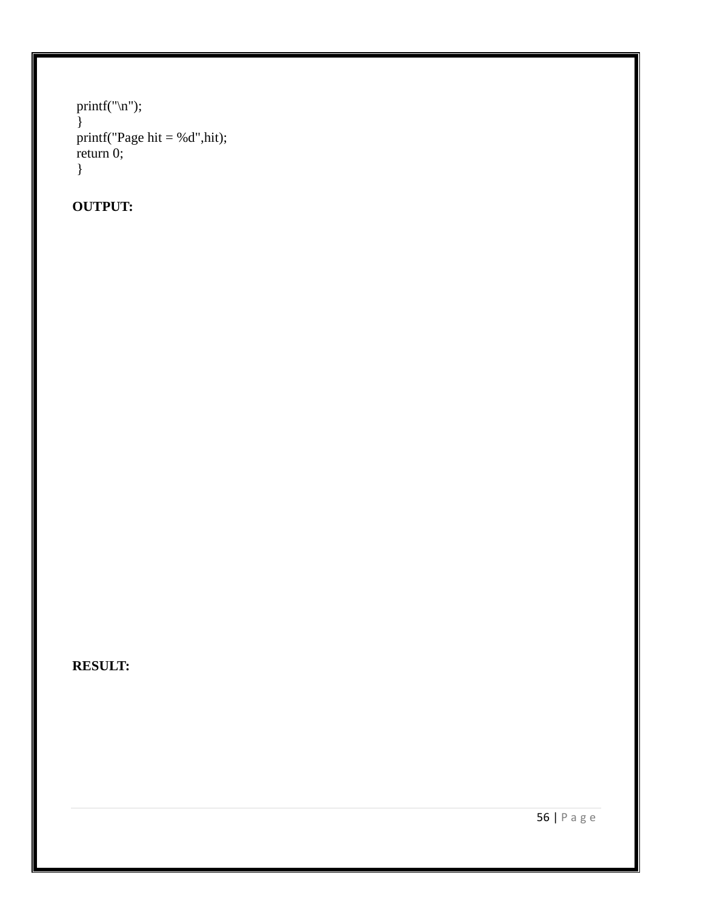```
printf("\n");
}
printf("Page hit = %d", hit);
return 0;
}
```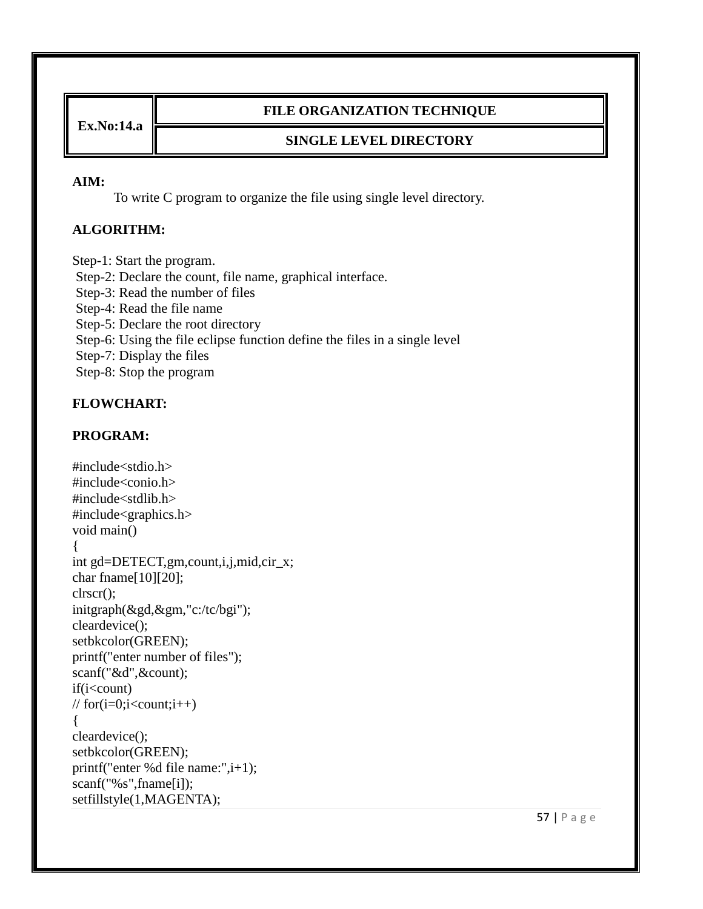**Ex.No:14.a**

### **FILE ORGANIZATION TECHNIQUE**

### **SINGLE LEVEL DIRECTORY**

#### **AIM:**

To write C program to organize the file using single level directory.

### **ALGORITHM:**

Step-1: Start the program. Step-2: Declare the count, file name, graphical interface. Step-3: Read the number of files Step-4: Read the file name Step-5: Declare the root directory Step-6: Using the file eclipse function define the files in a single level Step-7: Display the files Step-8: Stop the program

### **FLOWCHART:**

### **PROGRAM:**

```
#include<stdio.h>
\#include\ltconio.h >#include<stdlib.h>
#include<graphics.h>
void main()
{
int gd=DETECT,gm,count,i,j,mid,cir_x;
char fname[10][20];
clrscr();
initgraph(&gd,&gm,"c:/tc/bgi");
cleardevice();
setbkcolor(GREEN);
printf("enter number of files");
scanf("&d",&count);
if(i<count)
\frac{1}{\sqrt{2}} for(i=0;i<count;i++)
{
cleardevice();
setbkcolor(GREEN);
printf("enter %d file name:",i+1);
scanf("%s",fname[i]);
setfillstyle(1,MAGENTA);
```
57 | P a g e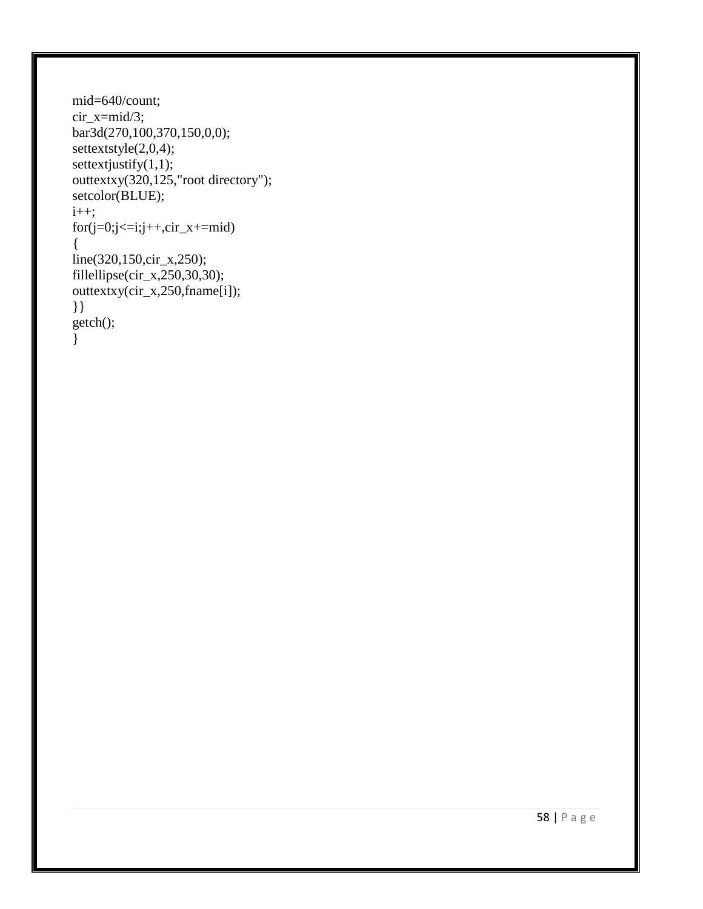```
mid=640/count;
cir_x=mid/3;
bar3d(270,100,370,150,0,0);
settextstyle(2,0,4);
settextjustify(1,1);outtextxy(320,125,"root directory");
setcolor(BLUE);
i++;
for (j=0; j<=i; j++, cir_x+=mid){
line(320,150,cir_x,250);
fillellipse(cir_x,250,30,30);
outtextxy(cir_x,250,fname[i]);
}}
getch();
}
```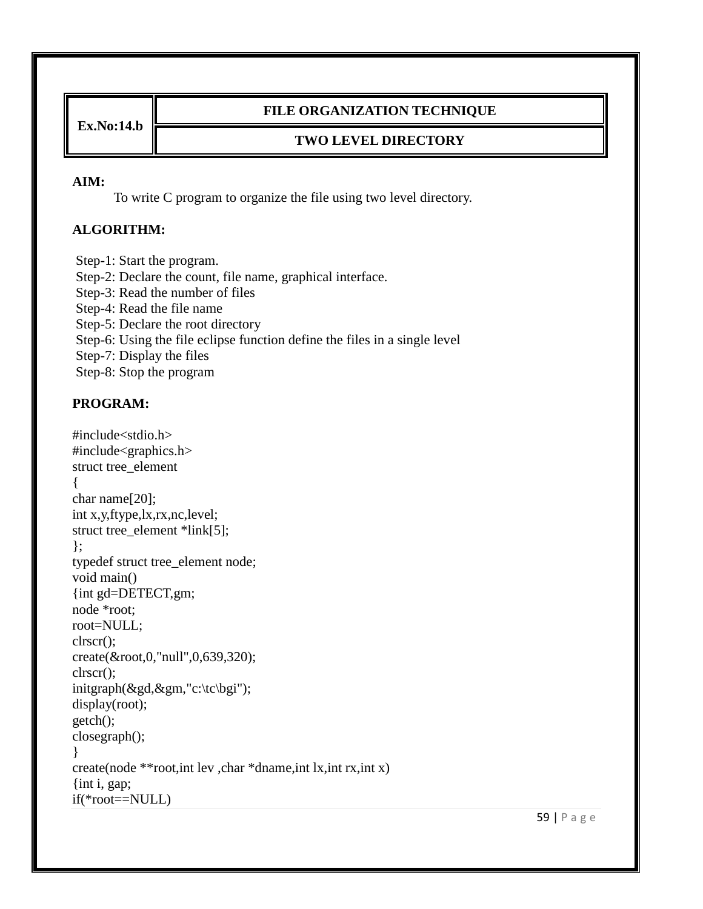**Ex.No:14.b**

### **FILE ORGANIZATION TECHNIQUE**

### **TWO LEVEL DIRECTORY**

#### **AIM:**

To write C program to organize the file using two level directory.

### **ALGORITHM:**

Step-1: Start the program. Step-2: Declare the count, file name, graphical interface. Step-3: Read the number of files Step-4: Read the file name Step-5: Declare the root directory Step-6: Using the file eclipse function define the files in a single level Step-7: Display the files Step-8: Stop the program

```
#include<stdio.h>
#include<graphics.h>
struct tree_element
{
char name[20];
int x,y,ftype,lx,rx,nc,level;
struct tree_element *link[5];
};
typedef struct tree_element node;
void main()
{int gd=DETECT,gm;
node *root;
root=NULL;
clrscr();
create(&root,0,"null",0,639,320);
clrscr();
initgraph(&gd,&gm,"c:\tc\bgi");
display(root);
getch();
closegraph();
}
create(node **root,int lev ,char *dname,int lx,int rx,int x)
{int i, gap;
if(*root==NULL)
```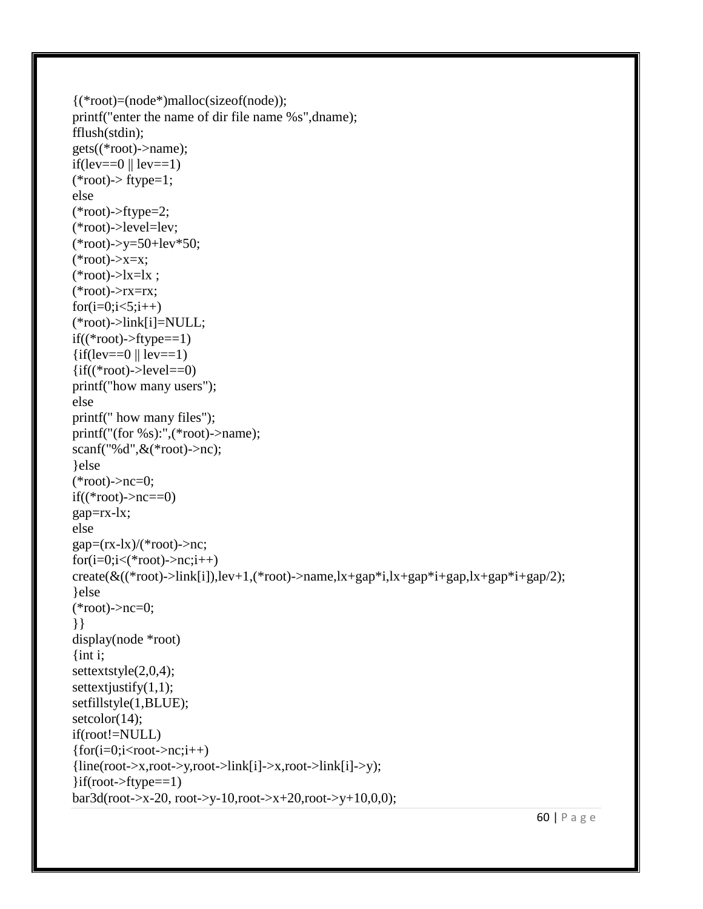```
{(*root)=(node*)malloc(sizeof(node));
printf("enter the name of dir file name %s",dname);
fflush(stdin);
gets((*root)->name);
if(lev==0 \parallel lev==1)(*root)-> ftype=1;
else
(*root)->ftype=2;
(*root)->level=lev;
(*root)->y=50+lev*50;
(*root)\rightarrow x=x;(*root)\rightarrow x=lx;
(*root)->rx=rx;
for(i=0; i<5; i++)(*root)->link[i]=NULL;
if((*root)->ftype==1)\{if(lev==0 \| lev==1)
\{if((*root)-<level==0)printf("how many users");
else
printf(" how many files");
printf("(for %s):",(*root)->name);
scanf("%d",&(*root)->nc);
}else
(*root)->nc=0;
if((*root)\rightarrow nc==0)gap=rx-lx;
else
gap=(rx-lx)/(*root)->nc;
for(i=0;i<(*root)\rightarrow nc;i++)create(\&((*root)->link[i]),lev+1,(*root)->name,lx+gap*i,lx+gap*i+gap,lx+gap*i+gap/2);
}else
(*root)->nc=0;
}}
display(node *root)
\{int i;
settextstyle(2,0,4);
settext justify(1,1);
setfillstyle(1,BLUE);
setcolor(14);
if(root!=NULL)
\{for(i=0;i<root>=nc;i++)\}{line(root->x,root->y,root->link[i]->x,root->link[i]>y);\{if(root~gt;fty)=ftype==1\}bar3d(root->x-20, root->y-10,root->x+20,root->y+10,0,0);
```
60 | P a g e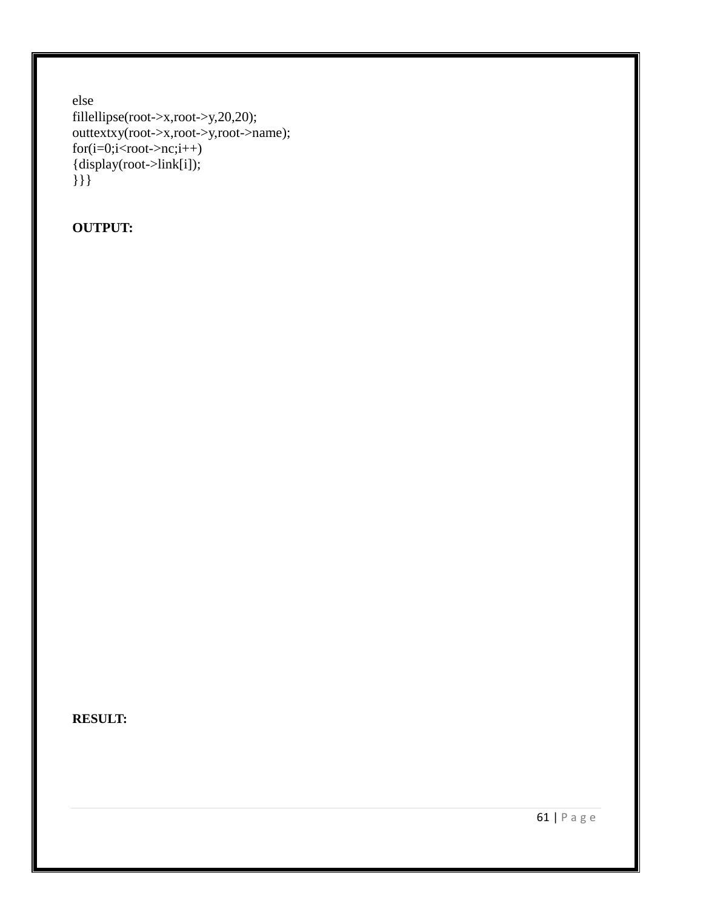```
else
fillellipse(root->x,root->y,20,20);
outtextxy(root->x,root->y,root->name);
for(i=0;i<root>=nc;i++){display(root->link[i]);
}}}
```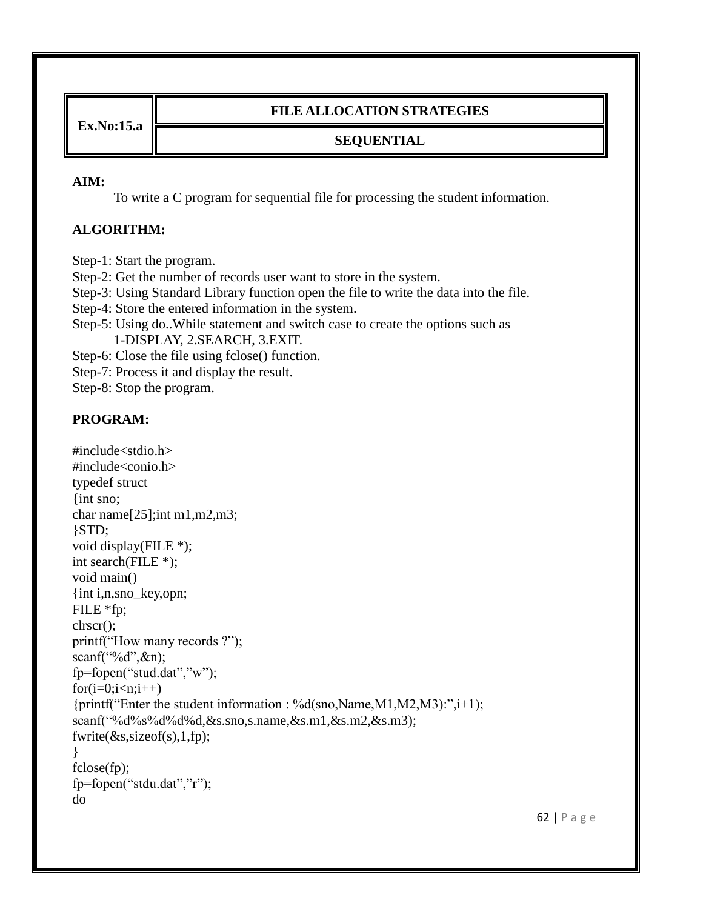**Ex.No:15.a**

# **FILE ALLOCATION STRATEGIES**

# **SEQUENTIAL**

### **AIM:**

To write a C program for sequential file for processing the student information.

# **ALGORITHM:**

Step-1: Start the program.

Step-2: Get the number of records user want to store in the system.

Step-3: Using Standard Library function open the file to write the data into the file.

Step-4: Store the entered information in the system.

Step-5: Using do..While statement and switch case to create the options such as 1-DISPLAY, 2.SEARCH, 3.EXIT.

Step-6: Close the file using fclose() function.

Step-7: Process it and display the result.

Step-8: Stop the program.

```
#include<stdio.h>
#include<conio.h>
typedef struct
{int sno;
char name[25];int m1,m2,m3;
}STD;
void display(FILE *);
int search(FILE *);
void main()
{int i,n,sno_key,opn;
FILE *fp;
clrscr();
printf("How many records ?");
scanf("%d",\&n);
fp=fopen("stud.dat","w");
for(i=0;i < n;i++){printf("Enter the student information : %d(sno,Name,M1,M2,M3):",i+1);
scanf("%d%s%d%d%d,&s.sno,s.name,&s.m1,&s.m2,&s.m3);
fwrite(\&s, sizeof(s), 1, fp);}
fclose(fp);
fp=fopen("stdu.dat","r");
do
```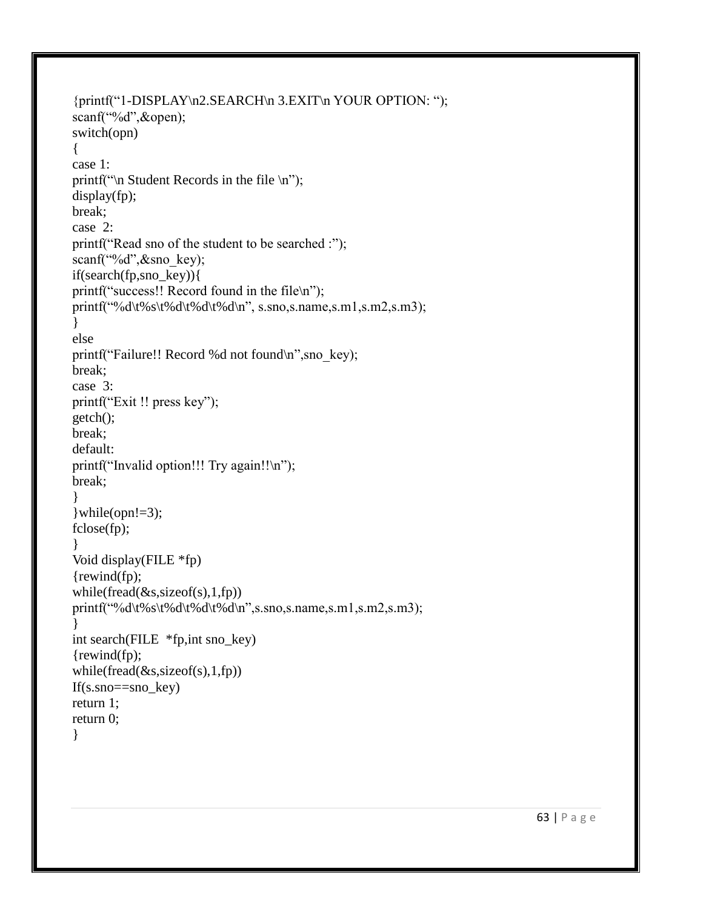```
{printf("1-DISPLAY\n2.SEARCH\n 3.EXIT\n YOUR OPTION: ");
scanf("%d",&open);
switch(opn)
{
case 1:
printf("\ln Student Records in the file \ln");
display(fp);
break;
case 2:
printf("Read sno of the student to be searched :");
scanf("%d",&sno key);
if(search(fp,sno_key)){
printf("success!! Record found in the file\n");
printf("%d\t%s\t%d\t%d\t%d\n", s.sno,s.name,s.m1,s.m2,s.m3);
}
else
printf("Failure!! Record %d not found\n", sno key);
break;
case 3:
printf("Exit !! press key");
getch();
break;
default:
printf("Invalid option!!! Try again!!\n");
break;
}
\text{while}(\text{opn}!=3);fclose(fp);
}
Void display(FILE *fp)
{rewind(fp);
while(fread(\&s, sizeof(s), 1, fp))
printf("%d\t%s\t%d\t%d\t%d\n",s.sno,s.name,s.m1,s.m2,s.m3);
}
int search(FILE *fp,int sno_key)
{rewind(fp);
while(fread(\&s, sizeof(s), 1, fp))
If(s.sno==sno_key)
return 1;
return 0;
}
```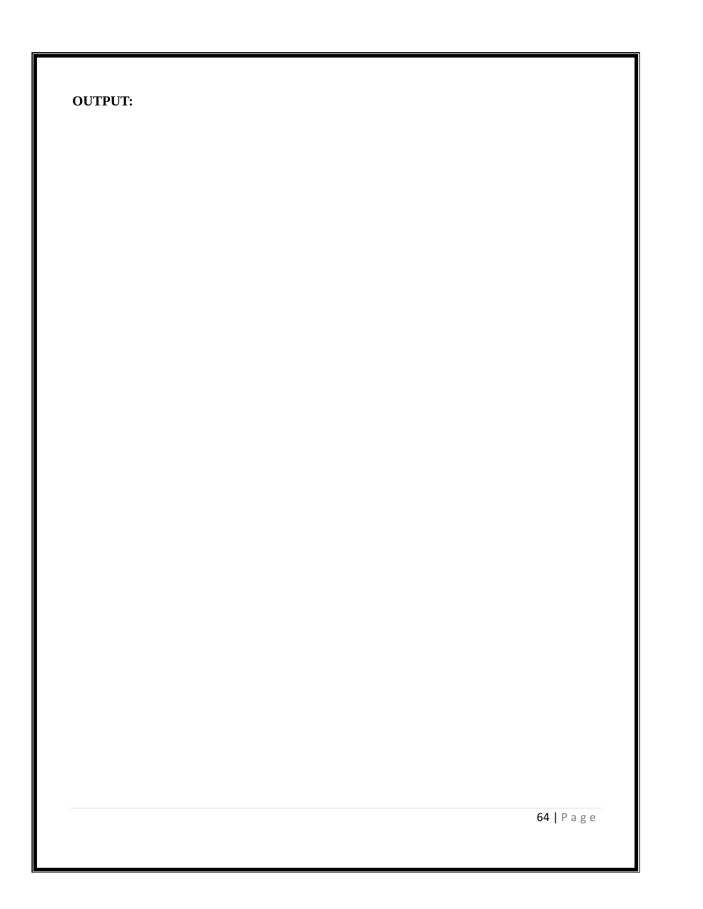64 | P a g e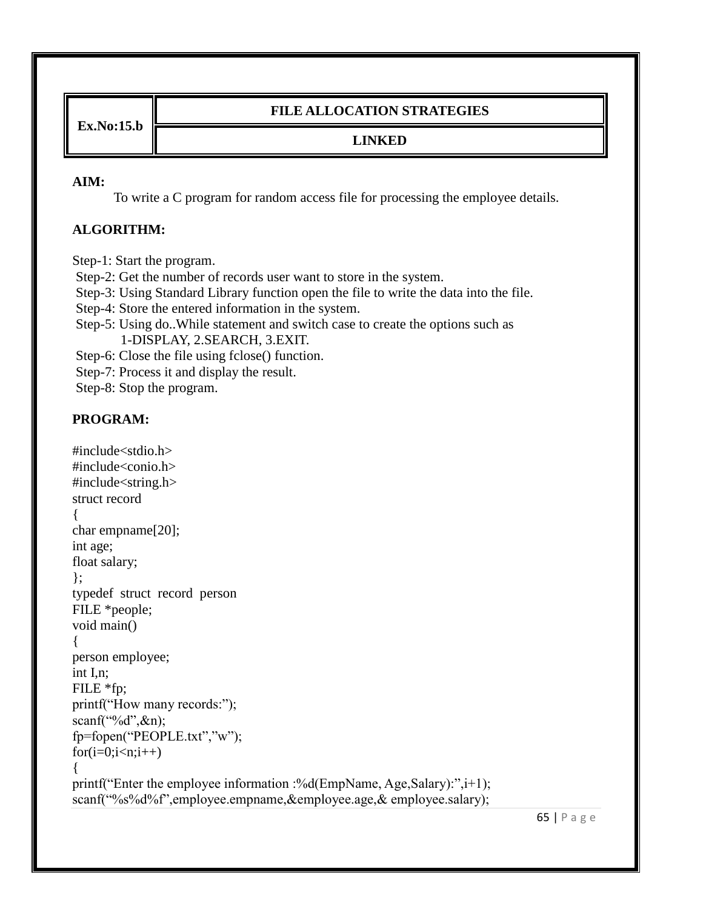**Ex.No:15.b**

### **FILE ALLOCATION STRATEGIES**

# **LINKED**

#### **AIM:**

To write a C program for random access file for processing the employee details.

## **ALGORITHM:**

Step-1: Start the program.

Step-2: Get the number of records user want to store in the system.

Step-3: Using Standard Library function open the file to write the data into the file.

Step-4: Store the entered information in the system.

Step-5: Using do..While statement and switch case to create the options such as 1-DISPLAY, 2.SEARCH, 3.EXIT.

Step-6: Close the file using fclose() function.

Step-7: Process it and display the result.

Step-8: Stop the program.

```
#include<stdio.h>
#include<conio.h>
#include<string.h>
struct record
{
char empname[20];
int age;
float salary;
};
typedef struct record person
FILE *people;
void main()
{
person employee;
int I,n;
FILE *fp;
printf("How many records:");
scanf("%d",\&n);
fp=fopen("PEOPLE.txt","w");
for(i=0;i < n;i++){
printf("Enter the employee information :%d(EmpName, Age, Salary):", i+1);
scanf("%s%d%f",employee.empname,&employee.age,& employee.salary);
```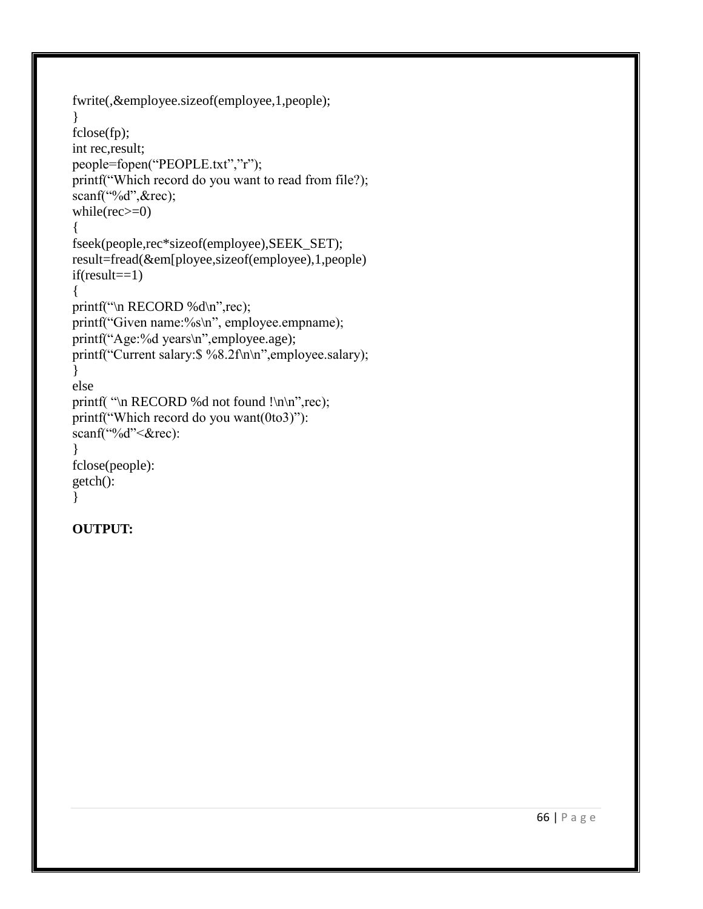```
fwrite(,&employee.sizeof(employee,1,people);
}
fclose(fp);
int rec,result;
people=fopen("PEOPLE.txt","r");
printf("Which record do you want to read from file?);
scanf("%d",&rec);
while(rec>=0){
fseek(people,rec*sizeof(employee),SEEK_SET);
result=fread(&em[ployee,sizeof(employee),1,people)
if(result==1){
printf("\n RECORD %d\n",rec);
printf("Given name:%s\n", employee.empname);
printf("Age:%d years\n",employee.age);
printf("Current salary:$ %8.2f\n\n",employee.salary);
}
else
printf( "\n RECORD %d not found !\n\n",rec);
printf("Which record do you want(0to3)"):
scanf("%d"<&rec):
}
fclose(people):
getch():
}
```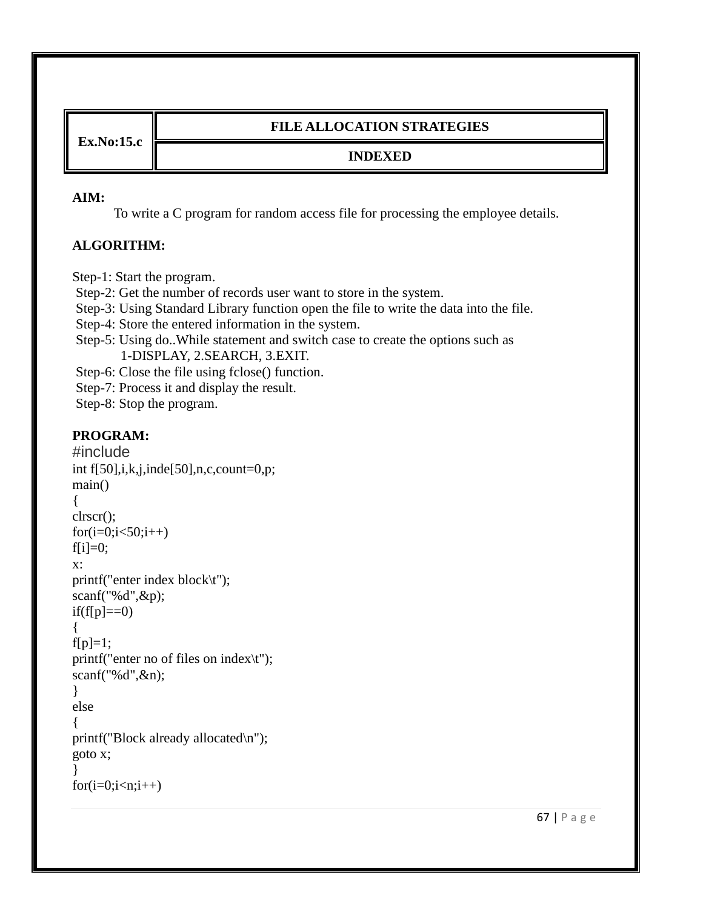**Ex.No:15.c**

## **FILE ALLOCATION STRATEGIES**

### **INDEXED**

#### **AIM:**

To write a C program for random access file for processing the employee details.

## **ALGORITHM:**

Step-1: Start the program.

Step-2: Get the number of records user want to store in the system.

Step-3: Using Standard Library function open the file to write the data into the file.

Step-4: Store the entered information in the system.

Step-5: Using do..While statement and switch case to create the options such as 1-DISPLAY, 2.SEARCH, 3.EXIT.

Step-6: Close the file using fclose() function.

Step-7: Process it and display the result.

Step-8: Stop the program.

```
#include
int f[50],i,k,j,inde[50],n,c,count=0,p;
main()
{
clrscr();
for(i=0; i<50; i++)f[i]=0;x:
printf("enter index block\t");
scanf("%d",&p);
if(f[p]=0){
f[p]=1;printf("enter no of files on index\t");
scanf("%d",&n);
}
else
{
printf("Block already allocated\n");
goto x;
}
for(i=0;i< n;i++)
```